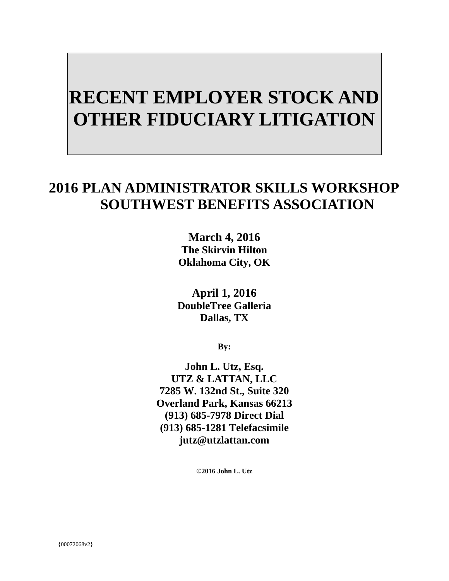# **RECENT EMPLOYER STOCK AND OTHER FIDUCIARY LITIGATION**

# **2016 PLAN ADMINISTRATOR SKILLS WORKSHOP SOUTHWEST BENEFITS ASSOCIATION**

**March 4, 2016 The Skirvin Hilton Oklahoma City, OK** 

**April 1, 2016 DoubleTree Galleria Dallas, TX** 

**By:**

**John L. Utz, Esq. UTZ & LATTAN, LLC 7285 W. 132nd St., Suite 320 Overland Park, Kansas 66213 (913) 685-7978 Direct Dial (913) 685-1281 Telefacsimile jutz@utzlattan.com** 

**©2016 John L. Utz**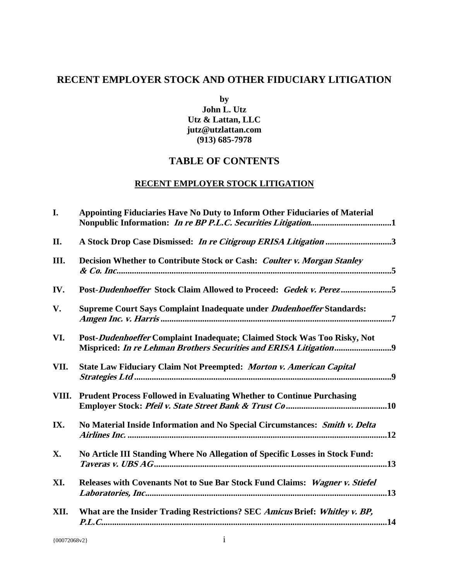# **RECENT EMPLOYER STOCK AND OTHER FIDUCIARY LITIGATION**

**by** 

**John L. Utz Utz & Lattan, LLC jutz@utzlattan.com (913) 685-7978** 

# **TABLE OF CONTENTS**

# **RECENT EMPLOYER STOCK LITIGATION**

| I.   | Appointing Fiduciaries Have No Duty to Inform Other Fiduciaries of Material   |  |
|------|-------------------------------------------------------------------------------|--|
| II.  | A Stock Drop Case Dismissed: In re Citigroup ERISA Litigation 3               |  |
| Ш.   | Decision Whether to Contribute Stock or Cash: Coulter v. Morgan Stanley       |  |
| IV.  | Post-Dudenhoeffer Stock Claim Allowed to Proceed: Gedek v. Perez5             |  |
| V.   | Supreme Court Says Complaint Inadequate under Dudenhoeffer Standards:         |  |
| VI.  | Post-Dudenhoeffer Complaint Inadequate; Claimed Stock Was Too Risky, Not      |  |
| VII. | State Law Fiduciary Claim Not Preempted: Morton v. American Capital           |  |
|      | VIII. Prudent Process Followed in Evaluating Whether to Continue Purchasing   |  |
| IX.  | No Material Inside Information and No Special Circumstances: Smith v. Delta   |  |
| X.   | No Article III Standing Where No Allegation of Specific Losses in Stock Fund: |  |
| XI.  | Releases with Covenants Not to Sue Bar Stock Fund Claims: Wagner v. Stiefel   |  |
| XII. | What are the Insider Trading Restrictions? SEC Amicus Brief: Whitley v. BP,   |  |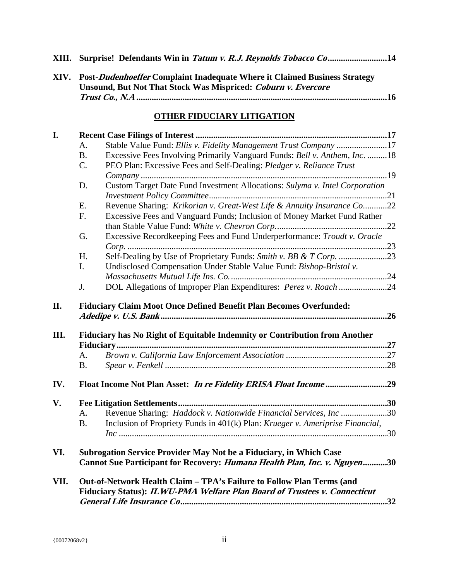|  | XIII. Surprise! Defendants Win in Tatum v. R.J. Reynolds Tobacco Co14 |  |  |
|--|-----------------------------------------------------------------------|--|--|
|  |                                                                       |  |  |

| XIV. | <b>Post-Dudenhoeffer Complaint Inadequate Where it Claimed Business Strategy</b> |  |
|------|----------------------------------------------------------------------------------|--|
|      | Unsound, But Not That Stock Was Mispriced: Coburn v. Evercore                    |  |
|      |                                                                                  |  |

# **OTHER FIDUCIARY LITIGATION**

| I.   |                                                                    |                                                                               |  |  |  |
|------|--------------------------------------------------------------------|-------------------------------------------------------------------------------|--|--|--|
|      | A.                                                                 | Stable Value Fund: Ellis v. Fidelity Management Trust Company 17              |  |  |  |
|      | <b>B.</b>                                                          | Excessive Fees Involving Primarily Vanguard Funds: Bell v. Anthem, Inc. 18    |  |  |  |
|      | C.                                                                 | PEO Plan: Excessive Fees and Self-Dealing: Pledger v. Reliance Trust          |  |  |  |
|      |                                                                    |                                                                               |  |  |  |
|      | D.                                                                 | Custom Target Date Fund Investment Allocations: Sulyma v. Intel Corporation   |  |  |  |
|      |                                                                    |                                                                               |  |  |  |
|      | Ε.                                                                 | Revenue Sharing: Krikorian v. Great-West Life & Annuity Insurance Co22        |  |  |  |
|      | F.                                                                 | Excessive Fees and Vanguard Funds; Inclusion of Money Market Fund Rather      |  |  |  |
|      |                                                                    |                                                                               |  |  |  |
|      | G.                                                                 | Excessive Recordkeeping Fees and Fund Underperformance: Troudt v. Oracle      |  |  |  |
|      |                                                                    |                                                                               |  |  |  |
|      | H.                                                                 |                                                                               |  |  |  |
|      | I.                                                                 | Undisclosed Compensation Under Stable Value Fund: Bishop-Bristol v.           |  |  |  |
|      |                                                                    |                                                                               |  |  |  |
|      | J.                                                                 | DOL Allegations of Improper Plan Expenditures: Perez v. Roach 24              |  |  |  |
| Ш.   |                                                                    | Fiduciary has No Right of Equitable Indemnity or Contribution from Another    |  |  |  |
|      |                                                                    |                                                                               |  |  |  |
|      | A.                                                                 |                                                                               |  |  |  |
|      | <b>B.</b>                                                          |                                                                               |  |  |  |
| IV.  |                                                                    |                                                                               |  |  |  |
| V.   |                                                                    |                                                                               |  |  |  |
|      | A.                                                                 | Revenue Sharing: Haddock v. Nationwide Financial Services, Inc30              |  |  |  |
|      | <b>B.</b>                                                          | Inclusion of Propriety Funds in 401(k) Plan: Krueger v. Ameriprise Financial, |  |  |  |
|      |                                                                    |                                                                               |  |  |  |
| VI.  | Subrogation Service Provider May Not be a Fiduciary, in Which Case |                                                                               |  |  |  |
|      |                                                                    | Cannot Sue Participant for Recovery: Humana Health Plan, Inc. v. Nguyen30     |  |  |  |
| VII. |                                                                    | Out-of-Network Health Claim - TPA's Failure to Follow Plan Terms (and         |  |  |  |
|      |                                                                    | Fiduciary Status): ILWU-PMA Welfare Plan Board of Trustees v. Connecticut     |  |  |  |
|      |                                                                    |                                                                               |  |  |  |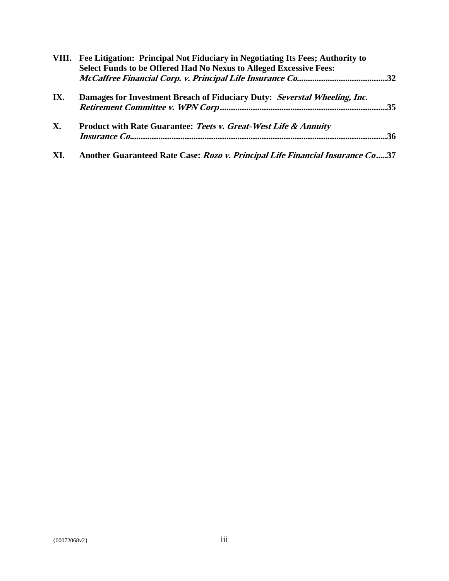|           | VIII. Fee Litigation: Principal Not Fiduciary in Negotiating Its Fees; Authority to<br>Select Funds to be Offered Had No Nexus to Alleged Excessive Fees: |  |
|-----------|-----------------------------------------------------------------------------------------------------------------------------------------------------------|--|
| IX.       | Damages for Investment Breach of Fiduciary Duty: Severstal Wheeling, Inc.                                                                                 |  |
| <b>X.</b> | Product with Rate Guarantee: Teets v. Great-West Life & Annuity                                                                                           |  |
| XI.       | Another Guaranteed Rate Case: Rozo v. Principal Life Financial Insurance Co37                                                                             |  |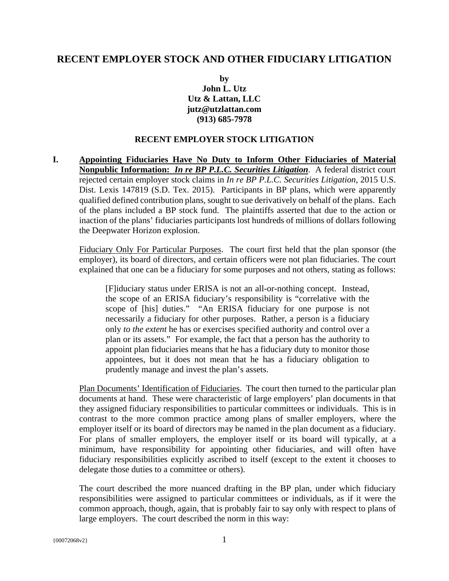### **RECENT EMPLOYER STOCK AND OTHER FIDUCIARY LITIGATION**

**by John L. Utz Utz & Lattan, LLC jutz@utzlattan.com (913) 685-7978** 

#### **RECENT EMPLOYER STOCK LITIGATION**

**I. Appointing Fiduciaries Have No Duty to Inform Other Fiduciaries of Material Nonpublic Information:** *In re BP P.L.C. Securities Litigation*. A federal district court rejected certain employer stock claims in *In re BP P.L.C. Securities Litigation*, 2015 U.S. Dist. Lexis 147819 (S.D. Tex. 2015). Participants in BP plans, which were apparently qualified defined contribution plans, sought to sue derivatively on behalf of the plans. Each of the plans included a BP stock fund. The plaintiffs asserted that due to the action or inaction of the plans' fiduciaries participants lost hundreds of millions of dollars following the Deepwater Horizon explosion.

Fiduciary Only For Particular Purposes. The court first held that the plan sponsor (the employer), its board of directors, and certain officers were not plan fiduciaries. The court explained that one can be a fiduciary for some purposes and not others, stating as follows:

[F]iduciary status under ERISA is not an all-or-nothing concept. Instead, the scope of an ERISA fiduciary's responsibility is "correlative with the scope of [his] duties." "An ERISA fiduciary for one purpose is not necessarily a fiduciary for other purposes. Rather, a person is a fiduciary only *to the extent* he has or exercises specified authority and control over a plan or its assets." For example, the fact that a person has the authority to appoint plan fiduciaries means that he has a fiduciary duty to monitor those appointees, but it does not mean that he has a fiduciary obligation to prudently manage and invest the plan's assets.

Plan Documents' Identification of Fiduciaries. The court then turned to the particular plan documents at hand. These were characteristic of large employers' plan documents in that they assigned fiduciary responsibilities to particular committees or individuals. This is in contrast to the more common practice among plans of smaller employers, where the employer itself or its board of directors may be named in the plan document as a fiduciary. For plans of smaller employers, the employer itself or its board will typically, at a minimum, have responsibility for appointing other fiduciaries, and will often have fiduciary responsibilities explicitly ascribed to itself (except to the extent it chooses to delegate those duties to a committee or others).

The court described the more nuanced drafting in the BP plan, under which fiduciary responsibilities were assigned to particular committees or individuals, as if it were the common approach, though, again, that is probably fair to say only with respect to plans of large employers. The court described the norm in this way: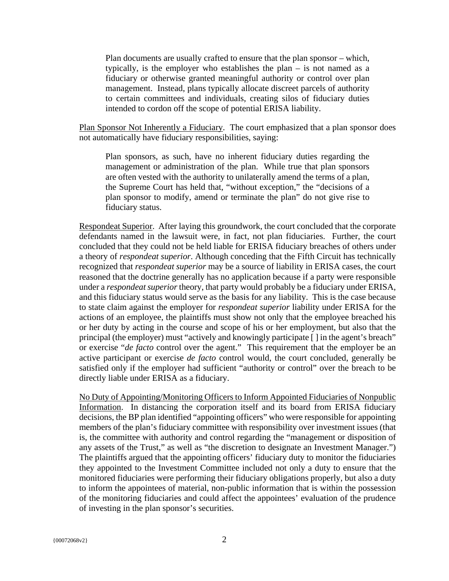Plan documents are usually crafted to ensure that the plan sponsor – which, typically, is the employer who establishes the plan – is not named as a fiduciary or otherwise granted meaningful authority or control over plan management. Instead, plans typically allocate discreet parcels of authority to certain committees and individuals, creating silos of fiduciary duties intended to cordon off the scope of potential ERISA liability.

Plan Sponsor Not Inherently a Fiduciary. The court emphasized that a plan sponsor does not automatically have fiduciary responsibilities, saying:

Plan sponsors, as such, have no inherent fiduciary duties regarding the management or administration of the plan. While true that plan sponsors are often vested with the authority to unilaterally amend the terms of a plan, the Supreme Court has held that, "without exception," the "decisions of a plan sponsor to modify, amend or terminate the plan" do not give rise to fiduciary status.

Respondeat Superior. After laying this groundwork, the court concluded that the corporate defendants named in the lawsuit were, in fact, not plan fiduciaries. Further, the court concluded that they could not be held liable for ERISA fiduciary breaches of others under a theory of *respondeat superior*. Although conceding that the Fifth Circuit has technically recognized that *respondeat superior* may be a source of liability in ERISA cases, the court reasoned that the doctrine generally has no application because if a party were responsible under a *respondeat superior* theory, that party would probably be a fiduciary under ERISA, and this fiduciary status would serve as the basis for any liability. This is the case because to state claim against the employer for *respondeat superior* liability under ERISA for the actions of an employee, the plaintiffs must show not only that the employee breached his or her duty by acting in the course and scope of his or her employment, but also that the principal (the employer) must "actively and knowingly participate [ ] in the agent's breach" or exercise "*de facto* control over the agent." This requirement that the employer be an active participant or exercise *de facto* control would, the court concluded, generally be satisfied only if the employer had sufficient "authority or control" over the breach to be directly liable under ERISA as a fiduciary.

No Duty of Appointing/Monitoring Officers to Inform Appointed Fiduciaries of Nonpublic Information. In distancing the corporation itself and its board from ERISA fiduciary decisions, the BP plan identified "appointing officers" who were responsible for appointing members of the plan's fiduciary committee with responsibility over investment issues (that is, the committee with authority and control regarding the "management or disposition of any assets of the Trust," as well as "the discretion to designate an Investment Manager.") The plaintiffs argued that the appointing officers' fiduciary duty to monitor the fiduciaries they appointed to the Investment Committee included not only a duty to ensure that the monitored fiduciaries were performing their fiduciary obligations properly, but also a duty to inform the appointees of material, non-public information that is within the possession of the monitoring fiduciaries and could affect the appointees' evaluation of the prudence of investing in the plan sponsor's securities.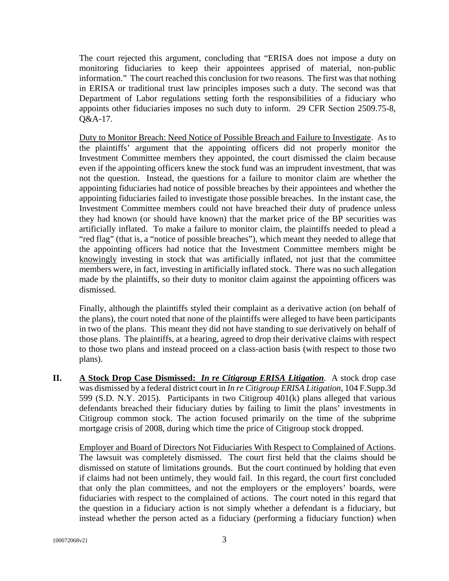The court rejected this argument, concluding that "ERISA does not impose a duty on monitoring fiduciaries to keep their appointees apprised of material, non-public information." The court reached this conclusion for two reasons. The first was that nothing in ERISA or traditional trust law principles imposes such a duty. The second was that Department of Labor regulations setting forth the responsibilities of a fiduciary who appoints other fiduciaries imposes no such duty to inform. 29 CFR Section 2509.75-8, Q&A-17.

Duty to Monitor Breach: Need Notice of Possible Breach and Failure to Investigate. As to the plaintiffs' argument that the appointing officers did not properly monitor the Investment Committee members they appointed, the court dismissed the claim because even if the appointing officers knew the stock fund was an imprudent investment, that was not the question. Instead, the questions for a failure to monitor claim are whether the appointing fiduciaries had notice of possible breaches by their appointees and whether the appointing fiduciaries failed to investigate those possible breaches. In the instant case, the Investment Committee members could not have breached their duty of prudence unless they had known (or should have known) that the market price of the BP securities was artificially inflated. To make a failure to monitor claim, the plaintiffs needed to plead a "red flag" (that is, a "notice of possible breaches"), which meant they needed to allege that the appointing officers had notice that the Investment Committee members might be knowingly investing in stock that was artificially inflated, not just that the committee members were, in fact, investing in artificially inflated stock. There was no such allegation made by the plaintiffs, so their duty to monitor claim against the appointing officers was dismissed.

Finally, although the plaintiffs styled their complaint as a derivative action (on behalf of the plans), the court noted that none of the plaintiffs were alleged to have been participants in two of the plans. This meant they did not have standing to sue derivatively on behalf of those plans. The plaintiffs, at a hearing, agreed to drop their derivative claims with respect to those two plans and instead proceed on a class-action basis (with respect to those two plans).

**II. A Stock Drop Case Dismissed:** *In re Citigroup ERISA Litigation.* A stock drop case was dismissed by a federal district court in *In re Citigroup ERISA Litigation*, 104 F.Supp.3d 599 (S.D. N.Y. 2015). Participants in two Citigroup 401(k) plans alleged that various defendants breached their fiduciary duties by failing to limit the plans' investments in Citigroup common stock. The action focused primarily on the time of the subprime mortgage crisis of 2008, during which time the price of Citigroup stock dropped.

Employer and Board of Directors Not Fiduciaries With Respect to Complained of Actions. The lawsuit was completely dismissed. The court first held that the claims should be dismissed on statute of limitations grounds. But the court continued by holding that even if claims had not been untimely, they would fail. In this regard, the court first concluded that only the plan committees, and not the employers or the employers' boards, were fiduciaries with respect to the complained of actions. The court noted in this regard that the question in a fiduciary action is not simply whether a defendant is a fiduciary, but instead whether the person acted as a fiduciary (performing a fiduciary function) when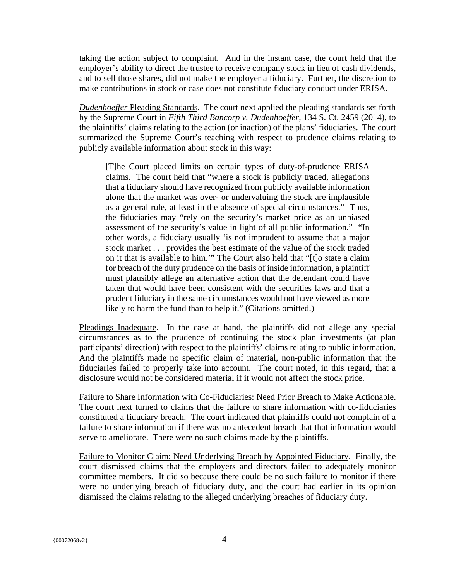taking the action subject to complaint. And in the instant case, the court held that the employer's ability to direct the trustee to receive company stock in lieu of cash dividends, and to sell those shares, did not make the employer a fiduciary. Further, the discretion to make contributions in stock or case does not constitute fiduciary conduct under ERISA.

*Dudenhoeffer* Pleading Standards. The court next applied the pleading standards set forth by the Supreme Court in *Fifth Third Bancorp v. Dudenhoeffer*, 134 S. Ct. 2459 (2014), to the plaintiffs' claims relating to the action (or inaction) of the plans' fiduciaries. The court summarized the Supreme Court's teaching with respect to prudence claims relating to publicly available information about stock in this way:

[T]he Court placed limits on certain types of duty-of-prudence ERISA claims. The court held that "where a stock is publicly traded, allegations that a fiduciary should have recognized from publicly available information alone that the market was over- or undervaluing the stock are implausible as a general rule, at least in the absence of special circumstances." Thus, the fiduciaries may "rely on the security's market price as an unbiased assessment of the security's value in light of all public information." "In other words, a fiduciary usually 'is not imprudent to assume that a major stock market . . . provides the best estimate of the value of the stock traded on it that is available to him.'" The Court also held that "[t]o state a claim for breach of the duty prudence on the basis of inside information, a plaintiff must plausibly allege an alternative action that the defendant could have taken that would have been consistent with the securities laws and that a prudent fiduciary in the same circumstances would not have viewed as more likely to harm the fund than to help it." (Citations omitted.)

Pleadings Inadequate. In the case at hand, the plaintiffs did not allege any special circumstances as to the prudence of continuing the stock plan investments (at plan participants' direction) with respect to the plaintiffs' claims relating to public information. And the plaintiffs made no specific claim of material, non-public information that the fiduciaries failed to properly take into account. The court noted, in this regard, that a disclosure would not be considered material if it would not affect the stock price.

Failure to Share Information with Co-Fiduciaries: Need Prior Breach to Make Actionable. The court next turned to claims that the failure to share information with co-fiduciaries constituted a fiduciary breach. The court indicated that plaintiffs could not complain of a failure to share information if there was no antecedent breach that that information would serve to ameliorate. There were no such claims made by the plaintiffs.

Failure to Monitor Claim: Need Underlying Breach by Appointed Fiduciary. Finally, the court dismissed claims that the employers and directors failed to adequately monitor committee members. It did so because there could be no such failure to monitor if there were no underlying breach of fiduciary duty, and the court had earlier in its opinion dismissed the claims relating to the alleged underlying breaches of fiduciary duty.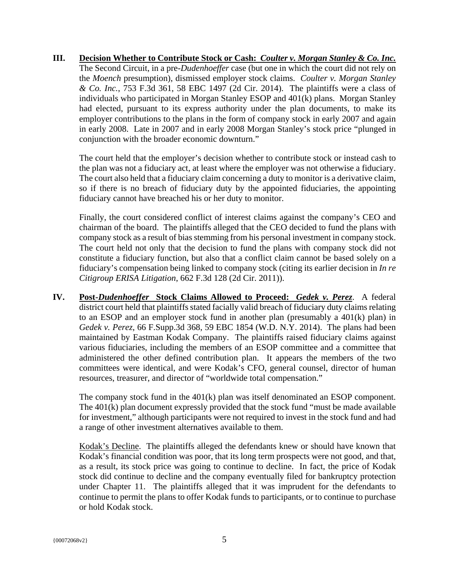**III. Decision Whether to Contribute Stock or Cash:** *Coulter v. Morgan Stanley & Co. Inc.* The Second Circuit, in a pre-*Dudenhoeffer* case (but one in which the court did not rely on the *Moench* presumption), dismissed employer stock claims. *Coulter v. Morgan Stanley & Co. Inc.*, 753 F.3d 361, 58 EBC 1497 (2d Cir. 2014). The plaintiffs were a class of individuals who participated in Morgan Stanley ESOP and 401(k) plans. Morgan Stanley had elected, pursuant to its express authority under the plan documents, to make its employer contributions to the plans in the form of company stock in early 2007 and again in early 2008. Late in 2007 and in early 2008 Morgan Stanley's stock price "plunged in conjunction with the broader economic downturn."

The court held that the employer's decision whether to contribute stock or instead cash to the plan was not a fiduciary act, at least where the employer was not otherwise a fiduciary. The court also held that a fiduciary claim concerning a duty to monitor is a derivative claim, so if there is no breach of fiduciary duty by the appointed fiduciaries, the appointing fiduciary cannot have breached his or her duty to monitor.

Finally, the court considered conflict of interest claims against the company's CEO and chairman of the board. The plaintiffs alleged that the CEO decided to fund the plans with company stock as a result of bias stemming from his personal investment in company stock. The court held not only that the decision to fund the plans with company stock did not constitute a fiduciary function, but also that a conflict claim cannot be based solely on a fiduciary's compensation being linked to company stock (citing its earlier decision in *In re Citigroup ERISA Litigation*, 662 F.3d 128 (2d Cir. 2011)).

**IV. Post-***Dudenhoeffer* **Stock Claims Allowed to Proceed:** *Gedek v. Perez*. A federal district court held that plaintiffs stated facially valid breach of fiduciary duty claims relating to an ESOP and an employer stock fund in another plan (presumably a 401(k) plan) in *Gedek v. Perez*, 66 F.Supp.3d 368, 59 EBC 1854 (W.D. N.Y. 2014). The plans had been maintained by Eastman Kodak Company. The plaintiffs raised fiduciary claims against various fiduciaries, including the members of an ESOP committee and a committee that administered the other defined contribution plan. It appears the members of the two committees were identical, and were Kodak's CFO, general counsel, director of human resources, treasurer, and director of "worldwide total compensation."

The company stock fund in the 401(k) plan was itself denominated an ESOP component. The 401(k) plan document expressly provided that the stock fund "must be made available for investment," although participants were not required to invest in the stock fund and had a range of other investment alternatives available to them.

Kodak's Decline. The plaintiffs alleged the defendants knew or should have known that Kodak's financial condition was poor, that its long term prospects were not good, and that, as a result, its stock price was going to continue to decline. In fact, the price of Kodak stock did continue to decline and the company eventually filed for bankruptcy protection under Chapter 11. The plaintiffs alleged that it was imprudent for the defendants to continue to permit the plans to offer Kodak funds to participants, or to continue to purchase or hold Kodak stock.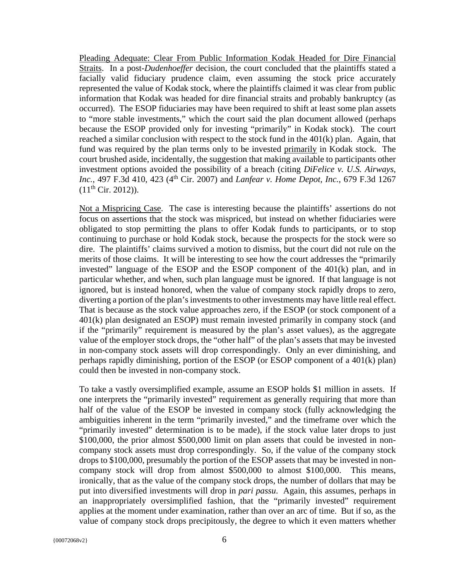Pleading Adequate: Clear From Public Information Kodak Headed for Dire Financial Straits. In a post-*Dudenhoeffer* decision, the court concluded that the plaintiffs stated a facially valid fiduciary prudence claim, even assuming the stock price accurately represented the value of Kodak stock, where the plaintiffs claimed it was clear from public information that Kodak was headed for dire financial straits and probably bankruptcy (as occurred). The ESOP fiduciaries may have been required to shift at least some plan assets to "more stable investments," which the court said the plan document allowed (perhaps because the ESOP provided only for investing "primarily" in Kodak stock). The court reached a similar conclusion with respect to the stock fund in the 401(k) plan. Again, that fund was required by the plan terms only to be invested primarily in Kodak stock. The court brushed aside, incidentally, the suggestion that making available to participants other investment options avoided the possibility of a breach (citing *DiFelice v. U.S. Airways, Inc.*, 497 F.3d 410, 423 (4th Cir. 2007) and *Lanfear v. Home Depot, Inc.*, 679 F.3d 1267  $(11<sup>th</sup> Cir. 2012)$ ).

Not a Mispricing Case. The case is interesting because the plaintiffs' assertions do not focus on assertions that the stock was mispriced, but instead on whether fiduciaries were obligated to stop permitting the plans to offer Kodak funds to participants, or to stop continuing to purchase or hold Kodak stock, because the prospects for the stock were so dire. The plaintiffs' claims survived a motion to dismiss, but the court did not rule on the merits of those claims. It will be interesting to see how the court addresses the "primarily invested" language of the ESOP and the ESOP component of the  $401(k)$  plan, and in particular whether, and when, such plan language must be ignored. If that language is not ignored, but is instead honored, when the value of company stock rapidly drops to zero, diverting a portion of the plan's investments to other investments may have little real effect. That is because as the stock value approaches zero, if the ESOP (or stock component of a 401(k) plan designated an ESOP) must remain invested primarily in company stock (and if the "primarily" requirement is measured by the plan's asset values), as the aggregate value of the employer stock drops, the "other half" of the plan's assets that may be invested in non-company stock assets will drop correspondingly. Only an ever diminishing, and perhaps rapidly diminishing, portion of the ESOP (or ESOP component of a 401(k) plan) could then be invested in non-company stock.

To take a vastly oversimplified example, assume an ESOP holds \$1 million in assets. If one interprets the "primarily invested" requirement as generally requiring that more than half of the value of the ESOP be invested in company stock (fully acknowledging the ambiguities inherent in the term "primarily invested," and the timeframe over which the "primarily invested" determination is to be made), if the stock value later drops to just \$100,000, the prior almost \$500,000 limit on plan assets that could be invested in noncompany stock assets must drop correspondingly. So, if the value of the company stock drops to \$100,000, presumably the portion of the ESOP assets that may be invested in noncompany stock will drop from almost \$500,000 to almost \$100,000. This means, ironically, that as the value of the company stock drops, the number of dollars that may be put into diversified investments will drop in *pari passu*. Again, this assumes, perhaps in an inappropriately oversimplified fashion, that the "primarily invested" requirement applies at the moment under examination, rather than over an arc of time. But if so, as the value of company stock drops precipitously, the degree to which it even matters whether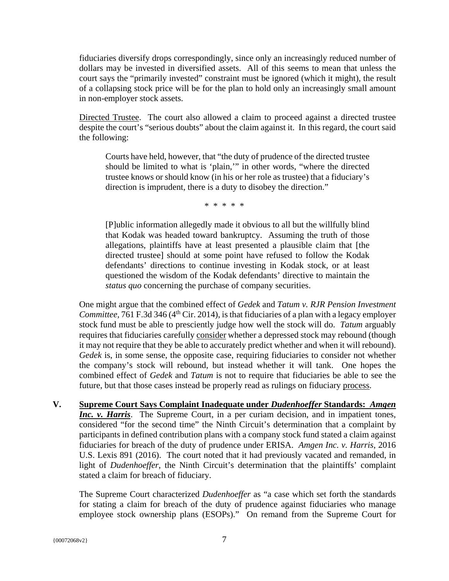fiduciaries diversify drops correspondingly, since only an increasingly reduced number of dollars may be invested in diversified assets. All of this seems to mean that unless the court says the "primarily invested" constraint must be ignored (which it might), the result of a collapsing stock price will be for the plan to hold only an increasingly small amount in non-employer stock assets.

Directed Trustee. The court also allowed a claim to proceed against a directed trustee despite the court's "serious doubts" about the claim against it. In this regard, the court said the following:

Courts have held, however, that "the duty of prudence of the directed trustee should be limited to what is 'plain,'" in other words, "where the directed trustee knows or should know (in his or her role as trustee) that a fiduciary's direction is imprudent, there is a duty to disobey the direction."

\* \* \* \* \*

[P]ublic information allegedly made it obvious to all but the willfully blind that Kodak was headed toward bankruptcy. Assuming the truth of those allegations, plaintiffs have at least presented a plausible claim that [the directed trustee] should at some point have refused to follow the Kodak defendants' directions to continue investing in Kodak stock, or at least questioned the wisdom of the Kodak defendants' directive to maintain the *status quo* concerning the purchase of company securities.

One might argue that the combined effect of *Gedek* and *Tatum v. RJR Pension Investment Committee,* 761 F.3d 346 ( $4<sup>th</sup>$  Cir. 2014), is that fiduciaries of a plan with a legacy employer stock fund must be able to presciently judge how well the stock will do. *Tatum* arguably requires that fiduciaries carefully consider whether a depressed stock may rebound (though it may not require that they be able to accurately predict whether and when it will rebound). *Gedek* is, in some sense, the opposite case, requiring fiduciaries to consider not whether the company's stock will rebound, but instead whether it will tank. One hopes the combined effect of *Gedek* and *Tatum* is not to require that fiduciaries be able to see the future, but that those cases instead be properly read as rulings on fiduciary process.

**V. Supreme Court Says Complaint Inadequate under** *Dudenhoeffer* **Standards:** *Amgen*  **Inc. v. Harris**. The Supreme Court, in a per curiam decision, and in impatient tones, considered "for the second time" the Ninth Circuit's determination that a complaint by participants in defined contribution plans with a company stock fund stated a claim against fiduciaries for breach of the duty of prudence under ERISA. *Amgen Inc. v. Harris*, 2016 U.S. Lexis 891 (2016). The court noted that it had previously vacated and remanded, in light of *Dudenhoeffer*, the Ninth Circuit's determination that the plaintiffs' complaint stated a claim for breach of fiduciary.

The Supreme Court characterized *Dudenhoeffer* as "a case which set forth the standards for stating a claim for breach of the duty of prudence against fiduciaries who manage employee stock ownership plans (ESOPs)." On remand from the Supreme Court for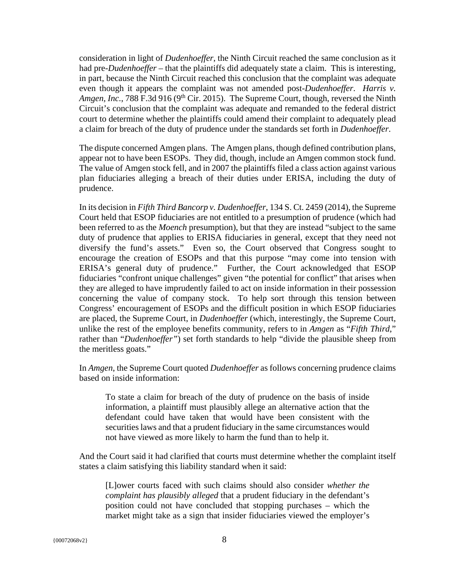consideration in light of *Dudenhoeffer*, the Ninth Circuit reached the same conclusion as it had pre-*Dudenhoeffer* – that the plaintiffs did adequately state a claim. This is interesting, in part, because the Ninth Circuit reached this conclusion that the complaint was adequate even though it appears the complaint was not amended post-*Dudenhoeffer*. *Harris v. Amgen, Inc.*, 788 F.3d 916 (9th Cir. 2015). The Supreme Court, though, reversed the Ninth Circuit's conclusion that the complaint was adequate and remanded to the federal district court to determine whether the plaintiffs could amend their complaint to adequately plead a claim for breach of the duty of prudence under the standards set forth in *Dudenhoeffer*.

The dispute concerned Amgen plans. The Amgen plans, though defined contribution plans, appear not to have been ESOPs. They did, though, include an Amgen common stock fund. The value of Amgen stock fell, and in 2007 the plaintiffs filed a class action against various plan fiduciaries alleging a breach of their duties under ERISA, including the duty of prudence.

In its decision in *Fifth Third Bancorp v. Dudenhoeffer*, 134 S. Ct. 2459 (2014), the Supreme Court held that ESOP fiduciaries are not entitled to a presumption of prudence (which had been referred to as the *Moench* presumption), but that they are instead "subject to the same duty of prudence that applies to ERISA fiduciaries in general, except that they need not diversify the fund's assets." Even so, the Court observed that Congress sought to encourage the creation of ESOPs and that this purpose "may come into tension with ERISA's general duty of prudence." Further, the Court acknowledged that ESOP fiduciaries "confront unique challenges" given "the potential for conflict" that arises when they are alleged to have imprudently failed to act on inside information in their possession concerning the value of company stock. To help sort through this tension between Congress' encouragement of ESOPs and the difficult position in which ESOP fiduciaries are placed, the Supreme Court, in *Dudenhoeffer* (which, interestingly, the Supreme Court, unlike the rest of the employee benefits community, refers to in *Amgen* as "*Fifth Third*," rather than "*Dudenhoeffer"*) set forth standards to help "divide the plausible sheep from the meritless goats."

In *Amgen*, the Supreme Court quoted *Dudenhoeffer* as follows concerning prudence claims based on inside information:

To state a claim for breach of the duty of prudence on the basis of inside information, a plaintiff must plausibly allege an alternative action that the defendant could have taken that would have been consistent with the securities laws and that a prudent fiduciary in the same circumstances would not have viewed as more likely to harm the fund than to help it.

And the Court said it had clarified that courts must determine whether the complaint itself states a claim satisfying this liability standard when it said:

[L]ower courts faced with such claims should also consider *whether the complaint has plausibly alleged* that a prudent fiduciary in the defendant's position could not have concluded that stopping purchases – which the market might take as a sign that insider fiduciaries viewed the employer's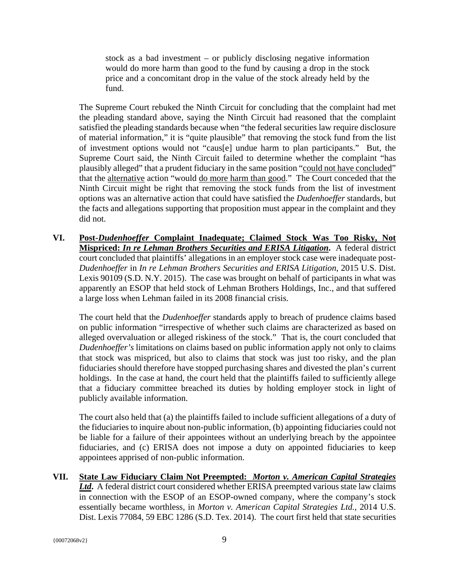stock as a bad investment – or publicly disclosing negative information would do more harm than good to the fund by causing a drop in the stock price and a concomitant drop in the value of the stock already held by the fund.

The Supreme Court rebuked the Ninth Circuit for concluding that the complaint had met the pleading standard above, saying the Ninth Circuit had reasoned that the complaint satisfied the pleading standards because when "the federal securities law require disclosure of material information," it is "quite plausible" that removing the stock fund from the list of investment options would not "caus[e] undue harm to plan participants." But, the Supreme Court said, the Ninth Circuit failed to determine whether the complaint "has plausibly alleged" that a prudent fiduciary in the same position "could not have concluded" that the alternative action "would do more harm than good." The Court conceded that the Ninth Circuit might be right that removing the stock funds from the list of investment options was an alternative action that could have satisfied the *Dudenhoeffer* standards, but the facts and allegations supporting that proposition must appear in the complaint and they did not.

**VI. Post-***Dudenhoeffer* **Complaint Inadequate; Claimed Stock Was Too Risky, Not Mispriced:** *In re Lehman Brothers Securities and ERISA Litigation***.** A federal district court concluded that plaintiffs' allegations in an employer stock case were inadequate post-*Dudenhoeffer* in *In re Lehman Brothers Securities and ERISA Litigation*, 2015 U.S. Dist. Lexis 90109 (S.D. N.Y. 2015). The case was brought on behalf of participants in what was apparently an ESOP that held stock of Lehman Brothers Holdings, Inc., and that suffered a large loss when Lehman failed in its 2008 financial crisis.

The court held that the *Dudenhoeffer* standards apply to breach of prudence claims based on public information "irrespective of whether such claims are characterized as based on alleged overvaluation or alleged riskiness of the stock." That is, the court concluded that *Dudenhoeffer's* limitations on claims based on public information apply not only to claims that stock was mispriced, but also to claims that stock was just too risky, and the plan fiduciaries should therefore have stopped purchasing shares and divested the plan's current holdings. In the case at hand, the court held that the plaintiffs failed to sufficiently allege that a fiduciary committee breached its duties by holding employer stock in light of publicly available information.

The court also held that (a) the plaintiffs failed to include sufficient allegations of a duty of the fiduciaries to inquire about non-public information, (b) appointing fiduciaries could not be liable for a failure of their appointees without an underlying breach by the appointee fiduciaries, and (c) ERISA does not impose a duty on appointed fiduciaries to keep appointees apprised of non-public information.

**VII. State Law Fiduciary Claim Not Preempted:** *Morton v. American Capital Strategies Ltd***.** A federal district court considered whether ERISA preempted various state law claims in connection with the ESOP of an ESOP-owned company, where the company's stock essentially became worthless, in *Morton v. American Capital Strategies Ltd.,* 2014 U.S. Dist. Lexis 77084, 59 EBC 1286 (S.D. Tex. 2014). The court first held that state securities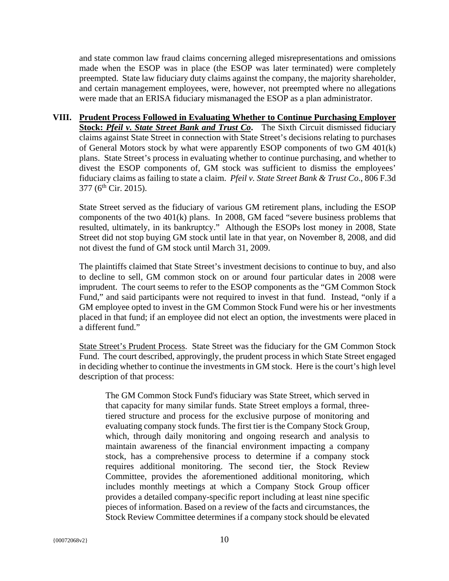and state common law fraud claims concerning alleged misrepresentations and omissions made when the ESOP was in place (the ESOP was later terminated) were completely preempted. State law fiduciary duty claims against the company, the majority shareholder, and certain management employees, were, however, not preempted where no allegations were made that an ERISA fiduciary mismanaged the ESOP as a plan administrator.

**VIII. Prudent Process Followed in Evaluating Whether to Continue Purchasing Employer Stock: Pfeil v. State Street Bank and Trust Co.** The Sixth Circuit dismissed fiduciary claims against State Street in connection with State Street's decisions relating to purchases of General Motors stock by what were apparently ESOP components of two GM 401(k) plans. State Street's process in evaluating whether to continue purchasing, and whether to divest the ESOP components of, GM stock was sufficient to dismiss the employees' fiduciary claims as failing to state a claim. *Pfeil v. State Street Bank & Trust Co*., 806 F.3d  $377$  (6<sup>th</sup> Cir. 2015).

State Street served as the fiduciary of various GM retirement plans, including the ESOP components of the two 401(k) plans. In 2008, GM faced "severe business problems that resulted, ultimately, in its bankruptcy." Although the ESOPs lost money in 2008, State Street did not stop buying GM stock until late in that year, on November 8, 2008, and did not divest the fund of GM stock until March 31, 2009.

The plaintiffs claimed that State Street's investment decisions to continue to buy, and also to decline to sell, GM common stock on or around four particular dates in 2008 were imprudent. The court seems to refer to the ESOP components as the "GM Common Stock Fund," and said participants were not required to invest in that fund. Instead, "only if a GM employee opted to invest in the GM Common Stock Fund were his or her investments placed in that fund; if an employee did not elect an option, the investments were placed in a different fund."

State Street's Prudent Process. State Street was the fiduciary for the GM Common Stock Fund. The court described, approvingly, the prudent process in which State Street engaged in deciding whether to continue the investments in GM stock. Here is the court's high level description of that process:

The GM Common Stock Fund's fiduciary was State Street, which served in that capacity for many similar funds. State Street employs a formal, threetiered structure and process for the exclusive purpose of monitoring and evaluating company stock funds. The first tier is the Company Stock Group, which, through daily monitoring and ongoing research and analysis to maintain awareness of the financial environment impacting a company stock, has a comprehensive process to determine if a company stock requires additional monitoring. The second tier, the Stock Review Committee, provides the aforementioned additional monitoring, which includes monthly meetings at which a Company Stock Group officer provides a detailed company-specific report including at least nine specific pieces of information. Based on a review of the facts and circumstances, the Stock Review Committee determines if a company stock should be elevated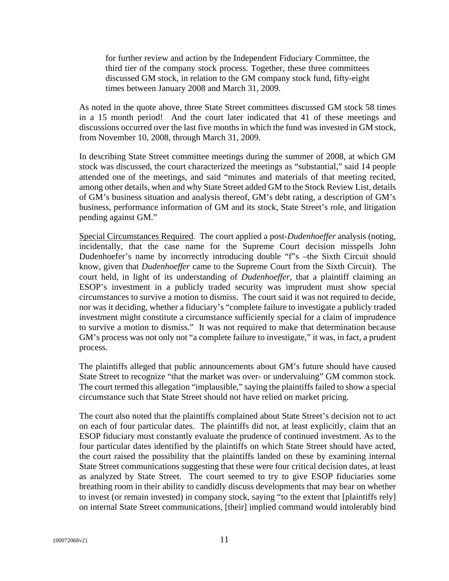for further review and action by the Independent Fiduciary Committee, the third tier of the company stock process. Together, these three committees discussed GM stock, in relation to the GM company stock fund, fifty-eight times between January 2008 and March 31, 2009.

As noted in the quote above, three State Street committees discussed GM stock 58 times in a 15 month period! And the court later indicated that 41 of these meetings and discussions occurred over the last five months in which the fund was invested in GM stock, from November 10, 2008, through March 31, 2009.

In describing State Street committee meetings during the summer of 2008, at which GM stock was discussed, the court characterized the meetings as "substantial," said 14 people attended one of the meetings, and said "minutes and materials of that meeting recited, among other details, when and why State Street added GM to the Stock Review List, details of GM's business situation and analysis thereof, GM's debt rating, a description of GM's business, performance information of GM and its stock, State Street's role, and litigation pending against GM."

Special Circumstances Required. The court applied a post-*Dudenhoeffer* analysis (noting, incidentally, that the case name for the Supreme Court decision misspells John Dudenhoefer's name by incorrectly introducing double "f"s –the Sixth Circuit should know, given that *Dudenhoeffer* came to the Supreme Court from the Sixth Circuit). The court held, in light of its understanding of *Dudenhoeffer*, that a plaintiff claiming an ESOP's investment in a publicly traded security was imprudent must show special circumstances to survive a motion to dismiss. The court said it was not required to decide, nor was it deciding, whether a fiduciary's "complete failure to investigate a publicly traded investment might constitute a circumstance sufficiently special for a claim of imprudence to survive a motion to dismiss." It was not required to make that determination because GM's process was not only not "a complete failure to investigate," it was, in fact, a prudent process.

The plaintiffs alleged that public announcements about GM's future should have caused State Street to recognize "that the market was over- or undervaluing" GM common stock. The court termed this allegation "implausible," saying the plaintiffs failed to show a special circumstance such that State Street should not have relied on market pricing.

The court also noted that the plaintiffs complained about State Street's decision not to act on each of four particular dates. The plaintiffs did not, at least explicitly, claim that an ESOP fiduciary must constantly evaluate the prudence of continued investment. As to the four particular dates identified by the plaintiffs on which State Street should have acted, the court raised the possibility that the plaintiffs landed on these by examining internal State Street communications suggesting that these were four critical decision dates, at least as analyzed by State Street. The court seemed to try to give ESOP fiduciaries some breathing room in their ability to candidly discuss developments that may bear on whether to invest (or remain invested) in company stock, saying "to the extent that [plaintiffs rely] on internal State Street communications, [their] implied command would intolerably bind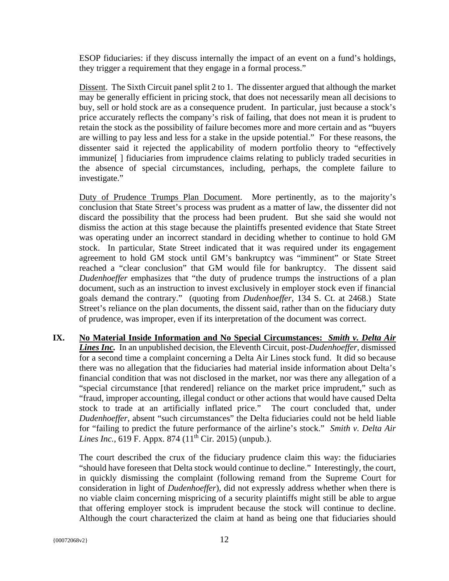ESOP fiduciaries: if they discuss internally the impact of an event on a fund's holdings, they trigger a requirement that they engage in a formal process."

Dissent. The Sixth Circuit panel split 2 to 1. The dissenter argued that although the market may be generally efficient in pricing stock, that does not necessarily mean all decisions to buy, sell or hold stock are as a consequence prudent. In particular, just because a stock's price accurately reflects the company's risk of failing, that does not mean it is prudent to retain the stock as the possibility of failure becomes more and more certain and as "buyers are willing to pay less and less for a stake in the upside potential." For these reasons, the dissenter said it rejected the applicability of modern portfolio theory to "effectively immunize[ ] fiduciaries from imprudence claims relating to publicly traded securities in the absence of special circumstances, including, perhaps, the complete failure to investigate."

Duty of Prudence Trumps Plan Document. More pertinently, as to the majority's conclusion that State Street's process was prudent as a matter of law, the dissenter did not discard the possibility that the process had been prudent. But she said she would not dismiss the action at this stage because the plaintiffs presented evidence that State Street was operating under an incorrect standard in deciding whether to continue to hold GM stock. In particular, State Street indicated that it was required under its engagement agreement to hold GM stock until GM's bankruptcy was "imminent" or State Street reached a "clear conclusion" that GM would file for bankruptcy. The dissent said *Dudenhoeffer* emphasizes that "the duty of prudence trumps the instructions of a plan document, such as an instruction to invest exclusively in employer stock even if financial goals demand the contrary." (quoting from *Dudenhoeffer,* 134 S. Ct. at 2468.) State Street's reliance on the plan documents, the dissent said, rather than on the fiduciary duty of prudence, was improper, even if its interpretation of the document was correct.

**IX. No Material Inside Information and No Special Circumstances:** *Smith v. Delta Air Lines Inc.* In an unpublished decision, the Eleventh Circuit, post-*Dudenhoeffer*, dismissed for a second time a complaint concerning a Delta Air Lines stock fund. It did so because there was no allegation that the fiduciaries had material inside information about Delta's financial condition that was not disclosed in the market, nor was there any allegation of a "special circumstance [that rendered] reliance on the market price imprudent," such as "fraud, improper accounting, illegal conduct or other actions that would have caused Delta stock to trade at an artificially inflated price." The court concluded that, under *Dudenhoeffer*, absent "such circumstances" the Delta fiduciaries could not be held liable for "failing to predict the future performance of the airline's stock." *Smith v. Delta Air Lines Inc.*, 619 F. Appx. 874 (11<sup>th</sup> Cir. 2015) (unpub.).

The court described the crux of the fiduciary prudence claim this way: the fiduciaries "should have foreseen that Delta stock would continue to decline." Interestingly, the court, in quickly dismissing the complaint (following remand from the Supreme Court for consideration in light of *Dudenhoeffer*), did not expressly address whether when there is no viable claim concerning mispricing of a security plaintiffs might still be able to argue that offering employer stock is imprudent because the stock will continue to decline. Although the court characterized the claim at hand as being one that fiduciaries should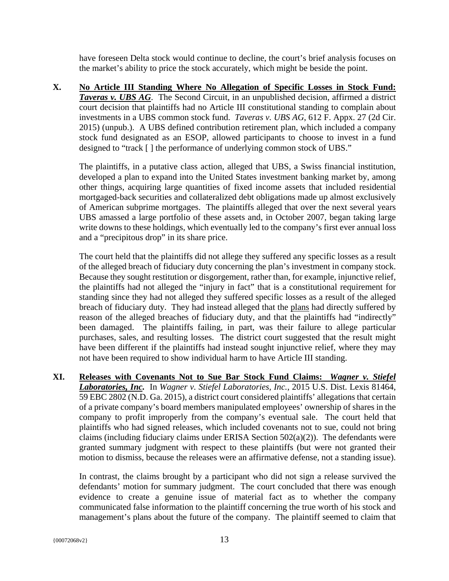have foreseen Delta stock would continue to decline, the court's brief analysis focuses on the market's ability to price the stock accurately, which might be beside the point.

**X. No Article III Standing Where No Allegation of Specific Losses in Stock Fund:**  *Taveras v. UBS AG.* The Second Circuit, in an unpublished decision, affirmed a district court decision that plaintiffs had no Article III constitutional standing to complain about investments in a UBS common stock fund. *Taveras v. UBS AG*, 612 F. Appx. 27 (2d Cir. 2015) (unpub.). A UBS defined contribution retirement plan, which included a company stock fund designated as an ESOP, allowed participants to choose to invest in a fund designed to "track [ ] the performance of underlying common stock of UBS."

The plaintiffs, in a putative class action, alleged that UBS, a Swiss financial institution, developed a plan to expand into the United States investment banking market by, among other things, acquiring large quantities of fixed income assets that included residential mortgaged-back securities and collateralized debt obligations made up almost exclusively of American subprime mortgages. The plaintiffs alleged that over the next several years UBS amassed a large portfolio of these assets and, in October 2007, began taking large write downs to these holdings, which eventually led to the company's first ever annual loss and a "precipitous drop" in its share price.

The court held that the plaintiffs did not allege they suffered any specific losses as a result of the alleged breach of fiduciary duty concerning the plan's investment in company stock. Because they sought restitution or disgorgement, rather than, for example, injunctive relief, the plaintiffs had not alleged the "injury in fact" that is a constitutional requirement for standing since they had not alleged they suffered specific losses as a result of the alleged breach of fiduciary duty. They had instead alleged that the plans had directly suffered by reason of the alleged breaches of fiduciary duty, and that the plaintiffs had "indirectly" been damaged. The plaintiffs failing, in part, was their failure to allege particular purchases, sales, and resulting losses. The district court suggested that the result might have been different if the plaintiffs had instead sought injunctive relief, where they may not have been required to show individual harm to have Article III standing.

**XI. Releases with Covenants Not to Sue Bar Stock Fund Claims:** *Wagner v. Stiefel Laboratories, Inc.* In *Wagner v. Stiefel Laboratories, Inc.*, 2015 U.S. Dist. Lexis 81464, 59 EBC 2802 (N.D. Ga. 2015), a district court considered plaintiffs' allegations that certain of a private company's board members manipulated employees' ownership of shares in the company to profit improperly from the company's eventual sale. The court held that plaintiffs who had signed releases, which included covenants not to sue, could not bring claims (including fiduciary claims under ERISA Section 502(a)(2)). The defendants were granted summary judgment with respect to these plaintiffs (but were not granted their motion to dismiss, because the releases were an affirmative defense, not a standing issue).

In contrast, the claims brought by a participant who did not sign a release survived the defendants' motion for summary judgment. The court concluded that there was enough evidence to create a genuine issue of material fact as to whether the company communicated false information to the plaintiff concerning the true worth of his stock and management's plans about the future of the company. The plaintiff seemed to claim that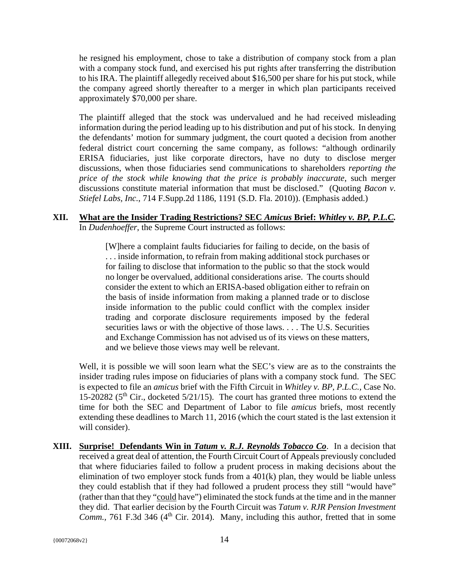he resigned his employment, chose to take a distribution of company stock from a plan with a company stock fund, and exercised his put rights after transferring the distribution to his IRA. The plaintiff allegedly received about \$16,500 per share for his put stock, while the company agreed shortly thereafter to a merger in which plan participants received approximately \$70,000 per share.

The plaintiff alleged that the stock was undervalued and he had received misleading information during the period leading up to his distribution and put of his stock. In denying the defendants' motion for summary judgment, the court quoted a decision from another federal district court concerning the same company, as follows: "although ordinarily ERISA fiduciaries, just like corporate directors, have no duty to disclose merger discussions, when those fiduciaries send communications to shareholders *reporting the price of the stock while knowing that the price is probably inaccurate*, such merger discussions constitute material information that must be disclosed." (Quoting *Bacon v. Stiefel Labs, Inc.*, 714 F.Supp.2d 1186, 1191 (S.D. Fla. 2010)). (Emphasis added.)

#### **XII. What are the Insider Trading Restrictions? SEC** *Amicus* **Brief:** *Whitley v. BP, P.L.C.*  In *Dudenhoeffer*, the Supreme Court instructed as follows:

[W]here a complaint faults fiduciaries for failing to decide, on the basis of . . . inside information, to refrain from making additional stock purchases or for failing to disclose that information to the public so that the stock would no longer be overvalued, additional considerations arise. The courts should consider the extent to which an ERISA-based obligation either to refrain on the basis of inside information from making a planned trade or to disclose inside information to the public could conflict with the complex insider trading and corporate disclosure requirements imposed by the federal securities laws or with the objective of those laws. . . . The U.S. Securities and Exchange Commission has not advised us of its views on these matters, and we believe those views may well be relevant.

Well, it is possible we will soon learn what the SEC's view are as to the constraints the insider trading rules impose on fiduciaries of plans with a company stock fund. The SEC is expected to file an *amicus* brief with the Fifth Circuit in *Whitley v. BP, P.L.C.*, Case No. 15-20282 ( $5<sup>th</sup>$  Cir., docketed  $5/21/15$ ). The court has granted three motions to extend the time for both the SEC and Department of Labor to file *amicus* briefs, most recently extending these deadlines to March 11, 2016 (which the court stated is the last extension it will consider).

**XIII.** Surprise! Defendants Win in *Tatum v. R.J. Reynolds Tobacco Co.* In a decision that received a great deal of attention, the Fourth Circuit Court of Appeals previously concluded that where fiduciaries failed to follow a prudent process in making decisions about the elimination of two employer stock funds from a  $401(k)$  plan, they would be liable unless they could establish that if they had followed a prudent process they still "would have" (rather than that they "could have") eliminated the stock funds at the time and in the manner they did. That earlier decision by the Fourth Circuit was *Tatum v. RJR Pension Investment Comm., 761 F.3d 346 (4<sup>th</sup> Cir. 2014).* Many, including this author, fretted that in some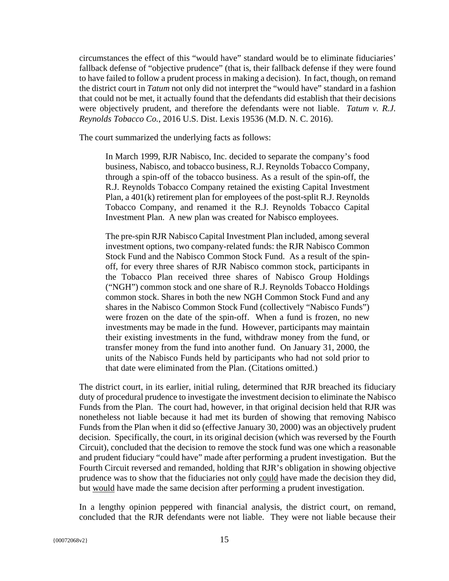circumstances the effect of this "would have" standard would be to eliminate fiduciaries' fallback defense of "objective prudence" (that is, their fallback defense if they were found to have failed to follow a prudent process in making a decision). In fact, though, on remand the district court in *Tatum* not only did not interpret the "would have" standard in a fashion that could not be met, it actually found that the defendants did establish that their decisions were objectively prudent, and therefore the defendants were not liable. *Tatum v. R.J. Reynolds Tobacco Co.*, 2016 U.S. Dist. Lexis 19536 (M.D. N. C. 2016).

The court summarized the underlying facts as follows:

In March 1999, RJR Nabisco, Inc. decided to separate the company's food business, Nabisco, and tobacco business, R.J. Reynolds Tobacco Company, through a spin-off of the tobacco business. As a result of the spin-off, the R.J. Reynolds Tobacco Company retained the existing Capital Investment Plan, a 401(k) retirement plan for employees of the post-split R.J. Reynolds Tobacco Company, and renamed it the R.J. Reynolds Tobacco Capital Investment Plan. A new plan was created for Nabisco employees.

The pre-spin RJR Nabisco Capital Investment Plan included, among several investment options, two company-related funds: the RJR Nabisco Common Stock Fund and the Nabisco Common Stock Fund. As a result of the spinoff, for every three shares of RJR Nabisco common stock, participants in the Tobacco Plan received three shares of Nabisco Group Holdings ("NGH") common stock and one share of R.J. Reynolds Tobacco Holdings common stock. Shares in both the new NGH Common Stock Fund and any shares in the Nabisco Common Stock Fund (collectively "Nabisco Funds") were frozen on the date of the spin-off. When a fund is frozen, no new investments may be made in the fund. However, participants may maintain their existing investments in the fund, withdraw money from the fund, or transfer money from the fund into another fund. On January 31, 2000, the units of the Nabisco Funds held by participants who had not sold prior to that date were eliminated from the Plan. (Citations omitted.)

The district court, in its earlier, initial ruling, determined that RJR breached its fiduciary duty of procedural prudence to investigate the investment decision to eliminate the Nabisco Funds from the Plan. The court had, however, in that original decision held that RJR was nonetheless not liable because it had met its burden of showing that removing Nabisco Funds from the Plan when it did so (effective January 30, 2000) was an objectively prudent decision. Specifically, the court, in its original decision (which was reversed by the Fourth Circuit), concluded that the decision to remove the stock fund was one which a reasonable and prudent fiduciary "could have" made after performing a prudent investigation. But the Fourth Circuit reversed and remanded, holding that RJR's obligation in showing objective prudence was to show that the fiduciaries not only could have made the decision they did, but would have made the same decision after performing a prudent investigation.

In a lengthy opinion peppered with financial analysis, the district court, on remand, concluded that the RJR defendants were not liable. They were not liable because their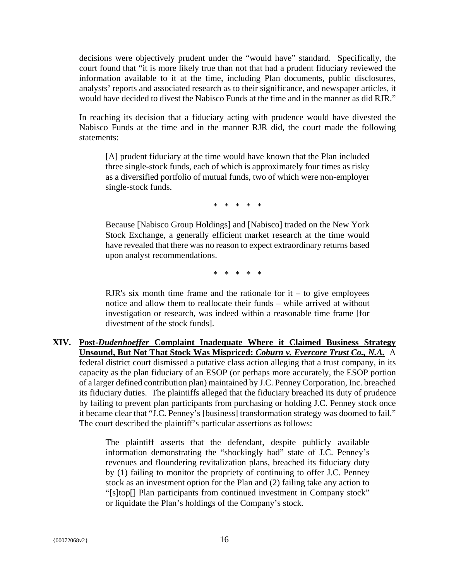decisions were objectively prudent under the "would have" standard. Specifically, the court found that "it is more likely true than not that had a prudent fiduciary reviewed the information available to it at the time, including Plan documents, public disclosures, analysts' reports and associated research as to their significance, and newspaper articles, it would have decided to divest the Nabisco Funds at the time and in the manner as did RJR."

In reaching its decision that a fiduciary acting with prudence would have divested the Nabisco Funds at the time and in the manner RJR did, the court made the following statements:

[A] prudent fiduciary at the time would have known that the Plan included three single-stock funds, each of which is approximately four times as risky as a diversified portfolio of mutual funds, two of which were non-employer single-stock funds.

\* \* \* \* \*

Because [Nabisco Group Holdings] and [Nabisco] traded on the New York Stock Exchange, a generally efficient market research at the time would have revealed that there was no reason to expect extraordinary returns based upon analyst recommendations.

\* \* \* \* \*

RJR's six month time frame and the rationale for  $it - to give employees$ notice and allow them to reallocate their funds – while arrived at without investigation or research, was indeed within a reasonable time frame [for divestment of the stock funds].

**XIV. Post-***Dudenhoeffer* **Complaint Inadequate Where it Claimed Business Strategy Unsound, But Not That Stock Was Mispriced:** *Coburn v. Evercore Trust Co., N.A.* A federal district court dismissed a putative class action alleging that a trust company, in its capacity as the plan fiduciary of an ESOP (or perhaps more accurately, the ESOP portion of a larger defined contribution plan) maintained by J.C. Penney Corporation, Inc. breached its fiduciary duties. The plaintiffs alleged that the fiduciary breached its duty of prudence by failing to prevent plan participants from purchasing or holding J.C. Penney stock once it became clear that "J.C. Penney's [business] transformation strategy was doomed to fail." The court described the plaintiff's particular assertions as follows:

> The plaintiff asserts that the defendant, despite publicly available information demonstrating the "shockingly bad" state of J.C. Penney's revenues and floundering revitalization plans, breached its fiduciary duty by (1) failing to monitor the propriety of continuing to offer J.C. Penney stock as an investment option for the Plan and (2) failing take any action to "[s]top[] Plan participants from continued investment in Company stock" or liquidate the Plan's holdings of the Company's stock.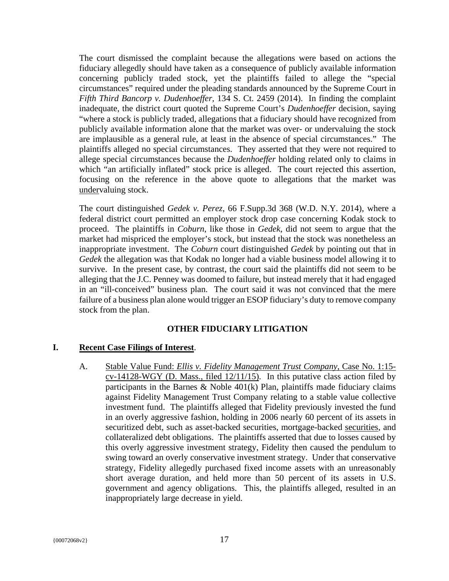The court dismissed the complaint because the allegations were based on actions the fiduciary allegedly should have taken as a consequence of publicly available information concerning publicly traded stock, yet the plaintiffs failed to allege the "special circumstances" required under the pleading standards announced by the Supreme Court in *Fifth Third Bancorp v. Dudenhoeffer,* 134 S. Ct. 2459 (2014). In finding the complaint inadequate, the district court quoted the Supreme Court's *Dudenhoeffer* decision, saying "where a stock is publicly traded, allegations that a fiduciary should have recognized from publicly available information alone that the market was over- or undervaluing the stock are implausible as a general rule, at least in the absence of special circumstances." The plaintiffs alleged no special circumstances. They asserted that they were not required to allege special circumstances because the *Dudenhoeffer* holding related only to claims in which "an artificially inflated" stock price is alleged. The court rejected this assertion, focusing on the reference in the above quote to allegations that the market was undervaluing stock.

The court distinguished *Gedek v. Perez*, 66 F.Supp.3d 368 (W.D. N.Y. 2014), where a federal district court permitted an employer stock drop case concerning Kodak stock to proceed. The plaintiffs in *Coburn*, like those in *Gedek*, did not seem to argue that the market had mispriced the employer's stock, but instead that the stock was nonetheless an inappropriate investment. The *Coburn* court distinguished *Gedek* by pointing out that in *Gedek* the allegation was that Kodak no longer had a viable business model allowing it to survive. In the present case, by contrast, the court said the plaintiffs did not seem to be alleging that the J.C. Penney was doomed to failure, but instead merely that it had engaged in an "ill-conceived" business plan. The court said it was not convinced that the mere failure of a business plan alone would trigger an ESOP fiduciary's duty to remove company stock from the plan.

#### **OTHER FIDUCIARY LITIGATION**

#### **I. Recent Case Filings of Interest**.

A. Stable Value Fund: *Ellis v. Fidelity Management Trust Company*, Case No. 1:15 cv-14128-WGY (D. Mass., filed 12/11/15). In this putative class action filed by participants in the Barnes  $\&$  Noble 401(k) Plan, plaintiffs made fiduciary claims against Fidelity Management Trust Company relating to a stable value collective investment fund. The plaintiffs alleged that Fidelity previously invested the fund in an overly aggressive fashion, holding in 2006 nearly 60 percent of its assets in securitized debt, such as asset-backed securities, mortgage-backed securities, and collateralized debt obligations. The plaintiffs asserted that due to losses caused by this overly aggressive investment strategy, Fidelity then caused the pendulum to swing toward an overly conservative investment strategy. Under that conservative strategy, Fidelity allegedly purchased fixed income assets with an unreasonably short average duration, and held more than 50 percent of its assets in U.S. government and agency obligations. This, the plaintiffs alleged, resulted in an inappropriately large decrease in yield.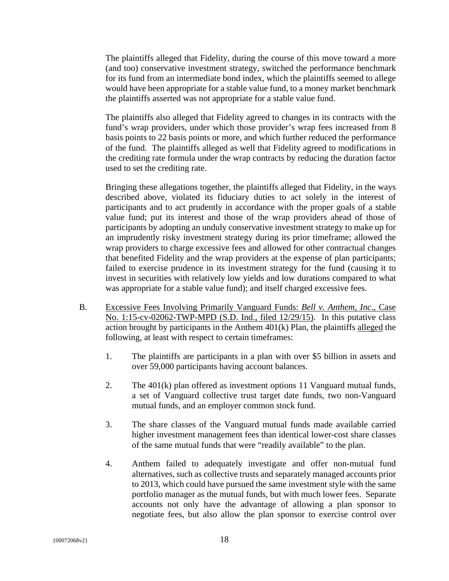The plaintiffs alleged that Fidelity, during the course of this move toward a more (and too) conservative investment strategy, switched the performance benchmark for its fund from an intermediate bond index, which the plaintiffs seemed to allege would have been appropriate for a stable value fund, to a money market benchmark the plaintiffs asserted was not appropriate for a stable value fund.

The plaintiffs also alleged that Fidelity agreed to changes in its contracts with the fund's wrap providers, under which those provider's wrap fees increased from 8 basis points to 22 basis points or more, and which further reduced the performance of the fund. The plaintiffs alleged as well that Fidelity agreed to modifications in the crediting rate formula under the wrap contracts by reducing the duration factor used to set the crediting rate.

Bringing these allegations together, the plaintiffs alleged that Fidelity, in the ways described above, violated its fiduciary duties to act solely in the interest of participants and to act prudently in accordance with the proper goals of a stable value fund; put its interest and those of the wrap providers ahead of those of participants by adopting an unduly conservative investment strategy to make up for an imprudently risky investment strategy during its prior timeframe; allowed the wrap providers to charge excessive fees and allowed for other contractual changes that benefited Fidelity and the wrap providers at the expense of plan participants; failed to exercise prudence in its investment strategy for the fund (causing it to invest in securities with relatively low yields and low durations compared to what was appropriate for a stable value fund); and itself charged excessive fees.

- B. Excessive Fees Involving Primarily Vanguard Funds: *Bell v. Anthem, Inc*., Case No. 1:15-cv-02062-TWP-MPD (S.D. Ind., filed 12/29/15). In this putative class action brought by participants in the Anthem  $401(k)$  Plan, the plaintiffs alleged the following, at least with respect to certain timeframes:
	- 1. The plaintiffs are participants in a plan with over \$5 billion in assets and over 59,000 participants having account balances.
	- 2. The 401(k) plan offered as investment options 11 Vanguard mutual funds, a set of Vanguard collective trust target date funds, two non-Vanguard mutual funds, and an employer common stock fund.
	- 3. The share classes of the Vanguard mutual funds made available carried higher investment management fees than identical lower-cost share classes of the same mutual funds that were "readily available" to the plan.
	- 4. Anthem failed to adequately investigate and offer non-mutual fund alternatives, such as collective trusts and separately managed accounts prior to 2013, which could have pursued the same investment style with the same portfolio manager as the mutual funds, but with much lower fees. Separate accounts not only have the advantage of allowing a plan sponsor to negotiate fees, but also allow the plan sponsor to exercise control over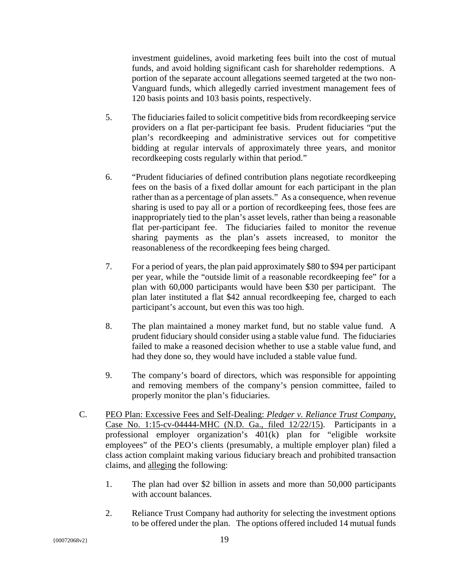investment guidelines, avoid marketing fees built into the cost of mutual funds, and avoid holding significant cash for shareholder redemptions. A portion of the separate account allegations seemed targeted at the two non-Vanguard funds, which allegedly carried investment management fees of 120 basis points and 103 basis points, respectively.

- 5. The fiduciaries failed to solicit competitive bids from recordkeeping service providers on a flat per-participant fee basis. Prudent fiduciaries "put the plan's recordkeeping and administrative services out for competitive bidding at regular intervals of approximately three years, and monitor recordkeeping costs regularly within that period."
- 6. "Prudent fiduciaries of defined contribution plans negotiate recordkeeping fees on the basis of a fixed dollar amount for each participant in the plan rather than as a percentage of plan assets." As a consequence, when revenue sharing is used to pay all or a portion of recordkeeping fees, those fees are inappropriately tied to the plan's asset levels, rather than being a reasonable flat per-participant fee. The fiduciaries failed to monitor the revenue sharing payments as the plan's assets increased, to monitor the reasonableness of the recordkeeping fees being charged.
- 7. For a period of years, the plan paid approximately \$80 to \$94 per participant per year, while the "outside limit of a reasonable recordkeeping fee" for a plan with 60,000 participants would have been \$30 per participant. The plan later instituted a flat \$42 annual recordkeeping fee, charged to each participant's account, but even this was too high.
- 8. The plan maintained a money market fund, but no stable value fund. A prudent fiduciary should consider using a stable value fund. The fiduciaries failed to make a reasoned decision whether to use a stable value fund, and had they done so, they would have included a stable value fund.
- 9. The company's board of directors, which was responsible for appointing and removing members of the company's pension committee, failed to properly monitor the plan's fiduciaries.
- C. PEO Plan: Excessive Fees and Self-Dealing: *Pledger v. Reliance Trust Company*, Case No. 1:15-cv-04444-MHC (N.D. Ga., filed 12/22/15).Participants in a professional employer organization's 401(k) plan for "eligible worksite employees" of the PEO's clients (presumably, a multiple employer plan) filed a class action complaint making various fiduciary breach and prohibited transaction claims, and alleging the following:
	- 1. The plan had over \$2 billion in assets and more than 50,000 participants with account balances.
	- 2. Reliance Trust Company had authority for selecting the investment options to be offered under the plan. The options offered included 14 mutual funds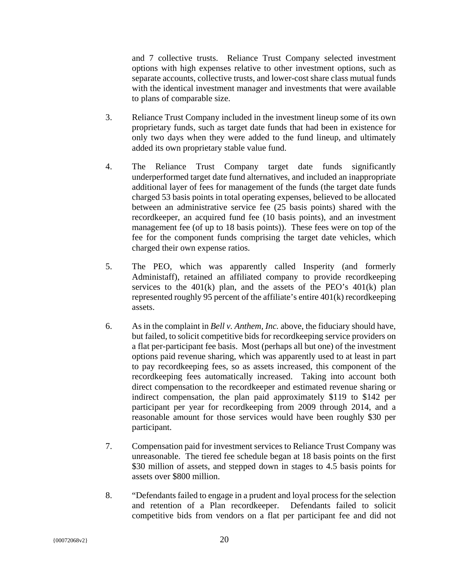and 7 collective trusts. Reliance Trust Company selected investment options with high expenses relative to other investment options, such as separate accounts, collective trusts, and lower-cost share class mutual funds with the identical investment manager and investments that were available to plans of comparable size.

- 3. Reliance Trust Company included in the investment lineup some of its own proprietary funds, such as target date funds that had been in existence for only two days when they were added to the fund lineup, and ultimately added its own proprietary stable value fund.
- 4. The Reliance Trust Company target date funds significantly underperformed target date fund alternatives, and included an inappropriate additional layer of fees for management of the funds (the target date funds charged 53 basis points in total operating expenses, believed to be allocated between an administrative service fee (25 basis points) shared with the recordkeeper, an acquired fund fee (10 basis points), and an investment management fee (of up to 18 basis points)). These fees were on top of the fee for the component funds comprising the target date vehicles, which charged their own expense ratios.
- 5. The PEO, which was apparently called Insperity (and formerly Administaff), retained an affiliated company to provide recordkeeping services to the  $401(k)$  plan, and the assets of the PEO's  $401(k)$  plan represented roughly 95 percent of the affiliate's entire 401(k) recordkeeping assets.
- 6. As in the complaint in *Bell v. Anthem, Inc.* above, the fiduciary should have, but failed, to solicit competitive bids for recordkeeping service providers on a flat per-participant fee basis. Most (perhaps all but one) of the investment options paid revenue sharing, which was apparently used to at least in part to pay recordkeeping fees, so as assets increased, this component of the recordkeeping fees automatically increased. Taking into account both direct compensation to the recordkeeper and estimated revenue sharing or indirect compensation, the plan paid approximately \$119 to \$142 per participant per year for recordkeeping from 2009 through 2014, and a reasonable amount for those services would have been roughly \$30 per participant.
- 7. Compensation paid for investment services to Reliance Trust Company was unreasonable. The tiered fee schedule began at 18 basis points on the first \$30 million of assets, and stepped down in stages to 4.5 basis points for assets over \$800 million.
- 8. "Defendants failed to engage in a prudent and loyal process for the selection and retention of a Plan recordkeeper. Defendants failed to solicit competitive bids from vendors on a flat per participant fee and did not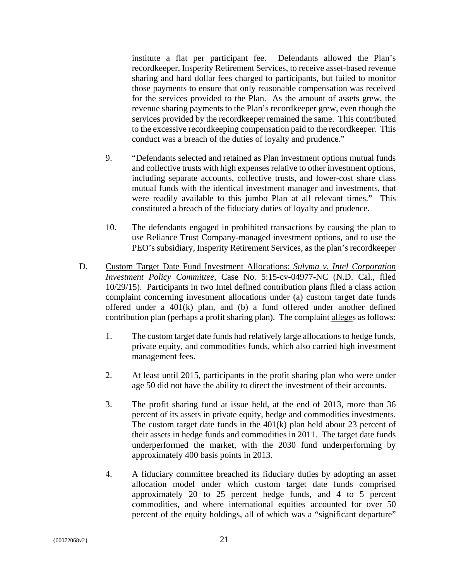institute a flat per participant fee. Defendants allowed the Plan's recordkeeper, Insperity Retirement Services, to receive asset-based revenue sharing and hard dollar fees charged to participants, but failed to monitor those payments to ensure that only reasonable compensation was received for the services provided to the Plan. As the amount of assets grew, the revenue sharing payments to the Plan's recordkeeper grew, even though the services provided by the recordkeeper remained the same. This contributed to the excessive recordkeeping compensation paid to the recordkeeper. This conduct was a breach of the duties of loyalty and prudence."

- 9. "Defendants selected and retained as Plan investment options mutual funds and collective trusts with high expenses relative to other investment options, including separate accounts, collective trusts, and lower-cost share class mutual funds with the identical investment manager and investments, that were readily available to this jumbo Plan at all relevant times." This constituted a breach of the fiduciary duties of loyalty and prudence.
- 10. The defendants engaged in prohibited transactions by causing the plan to use Reliance Trust Company-managed investment options, and to use the PEO's subsidiary, Insperity Retirement Services, as the plan's recordkeeper
- D. Custom Target Date Fund Investment Allocations: *Sulyma v. Intel Corporation Investment Policy Committee*, Case No. 5:15-cv-04977-NC (N.D. Cal., filed 10/29/15). Participants in two Intel defined contribution plans filed a class action complaint concerning investment allocations under (a) custom target date funds offered under a 401(k) plan, and (b) a fund offered under another defined contribution plan (perhaps a profit sharing plan). The complaint alleges as follows:
	- 1. The custom target date funds had relatively large allocations to hedge funds, private equity, and commodities funds, which also carried high investment management fees.
	- 2. At least until 2015, participants in the profit sharing plan who were under age 50 did not have the ability to direct the investment of their accounts.
	- 3. The profit sharing fund at issue held, at the end of 2013, more than 36 percent of its assets in private equity, hedge and commodities investments. The custom target date funds in the 401(k) plan held about 23 percent of their assets in hedge funds and commodities in 2011. The target date funds underperformed the market, with the 2030 fund underperforming by approximately 400 basis points in 2013.
	- 4. A fiduciary committee breached its fiduciary duties by adopting an asset allocation model under which custom target date funds comprised approximately 20 to 25 percent hedge funds, and 4 to 5 percent commodities, and where international equities accounted for over 50 percent of the equity holdings, all of which was a "significant departure"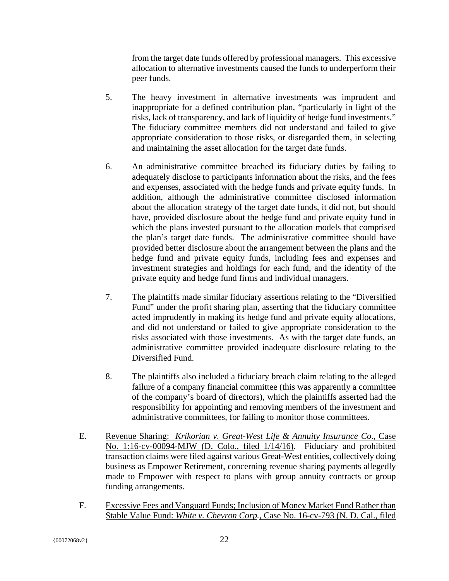from the target date funds offered by professional managers. This excessive allocation to alternative investments caused the funds to underperform their peer funds.

- 5. The heavy investment in alternative investments was imprudent and inappropriate for a defined contribution plan, "particularly in light of the risks, lack of transparency, and lack of liquidity of hedge fund investments." The fiduciary committee members did not understand and failed to give appropriate consideration to those risks, or disregarded them, in selecting and maintaining the asset allocation for the target date funds.
- 6. An administrative committee breached its fiduciary duties by failing to adequately disclose to participants information about the risks, and the fees and expenses, associated with the hedge funds and private equity funds. In addition, although the administrative committee disclosed information about the allocation strategy of the target date funds, it did not, but should have, provided disclosure about the hedge fund and private equity fund in which the plans invested pursuant to the allocation models that comprised the plan's target date funds. The administrative committee should have provided better disclosure about the arrangement between the plans and the hedge fund and private equity funds, including fees and expenses and investment strategies and holdings for each fund, and the identity of the private equity and hedge fund firms and individual managers.
- 7. The plaintiffs made similar fiduciary assertions relating to the "Diversified Fund" under the profit sharing plan, asserting that the fiduciary committee acted imprudently in making its hedge fund and private equity allocations, and did not understand or failed to give appropriate consideration to the risks associated with those investments. As with the target date funds, an administrative committee provided inadequate disclosure relating to the Diversified Fund.
- 8. The plaintiffs also included a fiduciary breach claim relating to the alleged failure of a company financial committee (this was apparently a committee of the company's board of directors), which the plaintiffs asserted had the responsibility for appointing and removing members of the investment and administrative committees, for failing to monitor those committees.
- E. Revenue Sharing: *Krikorian v. Great-West Life & Annuity Insurance Co*., Case No. 1:16-cv-00094-MJW (D. Colo., filed 1/14/16). Fiduciary and prohibited transaction claims were filed against various Great-West entities, collectively doing business as Empower Retirement, concerning revenue sharing payments allegedly made to Empower with respect to plans with group annuity contracts or group funding arrangements.
- F. Excessive Fees and Vanguard Funds; Inclusion of Money Market Fund Rather than Stable Value Fund: *White v. Chevron Corp.*, Case No. 16-cv-793 (N. D. Cal., filed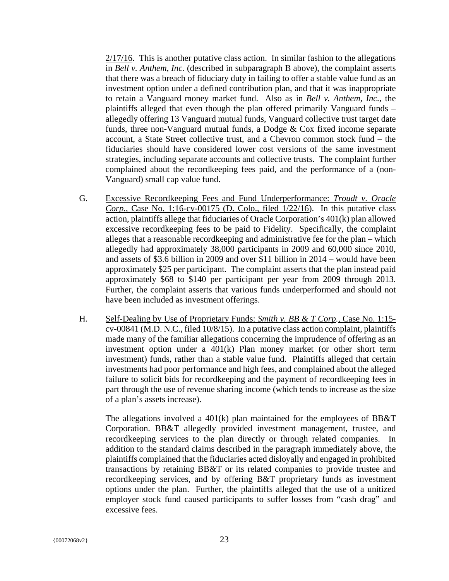2/17/16. This is another putative class action. In similar fashion to the allegations in *Bell v. Anthem*, *Inc.* (described in subparagraph B above), the complaint asserts that there was a breach of fiduciary duty in failing to offer a stable value fund as an investment option under a defined contribution plan, and that it was inappropriate to retain a Vanguard money market fund. Also as in *Bell v. Anthem, Inc.,* the plaintiffs alleged that even though the plan offered primarily Vanguard funds – allegedly offering 13 Vanguard mutual funds, Vanguard collective trust target date funds, three non-Vanguard mutual funds, a Dodge & Cox fixed income separate account, a State Street collective trust, and a Chevron common stock fund – the fiduciaries should have considered lower cost versions of the same investment strategies, including separate accounts and collective trusts. The complaint further complained about the recordkeeping fees paid, and the performance of a (non-Vanguard) small cap value fund.

- G. Excessive Recordkeeping Fees and Fund Underperformance: *Troudt v. Oracle Corp.*, Case No. 1:16-cv-00175 (D. Colo., filed 1/22/16). In this putative class action, plaintiffs allege that fiduciaries of Oracle Corporation's 401(k) plan allowed excessive recordkeeping fees to be paid to Fidelity. Specifically, the complaint alleges that a reasonable recordkeeping and administrative fee for the plan – which allegedly had approximately 38,000 participants in 2009 and 60,000 since 2010, and assets of \$3.6 billion in 2009 and over \$11 billion in 2014 – would have been approximately \$25 per participant. The complaint asserts that the plan instead paid approximately \$68 to \$140 per participant per year from 2009 through 2013. Further, the complaint asserts that various funds underperformed and should not have been included as investment offerings.
- H. Self-Dealing by Use of Proprietary Funds: *Smith v. BB & T Corp.*, Case No. 1:15 cv-00841 (M.D. N.C., filed 10/8/15). In a putative class action complaint, plaintiffs made many of the familiar allegations concerning the imprudence of offering as an investment option under a 401(k) Plan money market (or other short term investment) funds, rather than a stable value fund. Plaintiffs alleged that certain investments had poor performance and high fees, and complained about the alleged failure to solicit bids for recordkeeping and the payment of recordkeeping fees in part through the use of revenue sharing income (which tends to increase as the size of a plan's assets increase).

The allegations involved a  $401(k)$  plan maintained for the employees of BB&T Corporation. BB&T allegedly provided investment management, trustee, and recordkeeping services to the plan directly or through related companies. In addition to the standard claims described in the paragraph immediately above, the plaintiffs complained that the fiduciaries acted disloyally and engaged in prohibited transactions by retaining BB&T or its related companies to provide trustee and recordkeeping services, and by offering B&T proprietary funds as investment options under the plan. Further, the plaintiffs alleged that the use of a unitized employer stock fund caused participants to suffer losses from "cash drag" and excessive fees.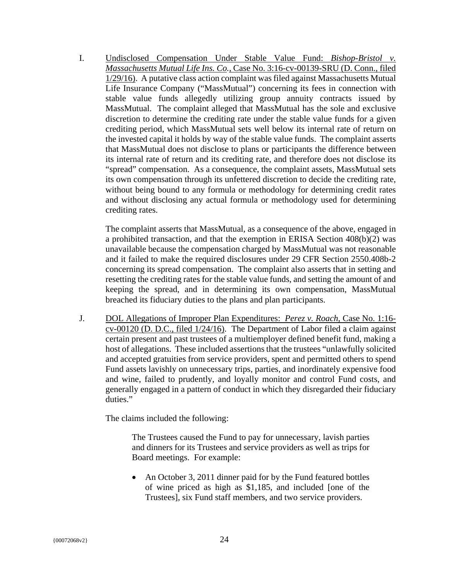I. Undisclosed Compensation Under Stable Value Fund: *Bishop-Bristol v. Massachusetts Mutual Life Ins. Co.*, Case No. 3:16-cv-00139-SRU (D. Conn., filed 1/29/16). A putative class action complaint was filed against Massachusetts Mutual Life Insurance Company ("MassMutual") concerning its fees in connection with stable value funds allegedly utilizing group annuity contracts issued by MassMutual. The complaint alleged that MassMutual has the sole and exclusive discretion to determine the crediting rate under the stable value funds for a given crediting period, which MassMutual sets well below its internal rate of return on the invested capital it holds by way of the stable value funds. The complaint asserts that MassMutual does not disclose to plans or participants the difference between its internal rate of return and its crediting rate, and therefore does not disclose its "spread" compensation. As a consequence, the complaint assets, MassMutual sets its own compensation through its unfettered discretion to decide the crediting rate, without being bound to any formula or methodology for determining credit rates and without disclosing any actual formula or methodology used for determining crediting rates.

The complaint asserts that MassMutual, as a consequence of the above, engaged in a prohibited transaction, and that the exemption in ERISA Section 408(b)(2) was unavailable because the compensation charged by MassMutual was not reasonable and it failed to make the required disclosures under 29 CFR Section 2550.408b-2 concerning its spread compensation. The complaint also asserts that in setting and resetting the crediting rates for the stable value funds, and setting the amount of and keeping the spread, and in determining its own compensation, MassMutual breached its fiduciary duties to the plans and plan participants.

J. DOL Allegations of Improper Plan Expenditures: *Perez v. Roach*, Case No. 1:16 cv-00120 (D. D.C., filed 1/24/16). The Department of Labor filed a claim against certain present and past trustees of a multiemployer defined benefit fund, making a host of allegations. These included assertions that the trustees "unlawfully solicited and accepted gratuities from service providers, spent and permitted others to spend Fund assets lavishly on unnecessary trips, parties, and inordinately expensive food and wine, failed to prudently, and loyally monitor and control Fund costs, and generally engaged in a pattern of conduct in which they disregarded their fiduciary duties."

The claims included the following:

The Trustees caused the Fund to pay for unnecessary, lavish parties and dinners for its Trustees and service providers as well as trips for Board meetings. For example:

• An October 3, 2011 dinner paid for by the Fund featured bottles of wine priced as high as \$1,185, and included [one of the Trustees], six Fund staff members, and two service providers.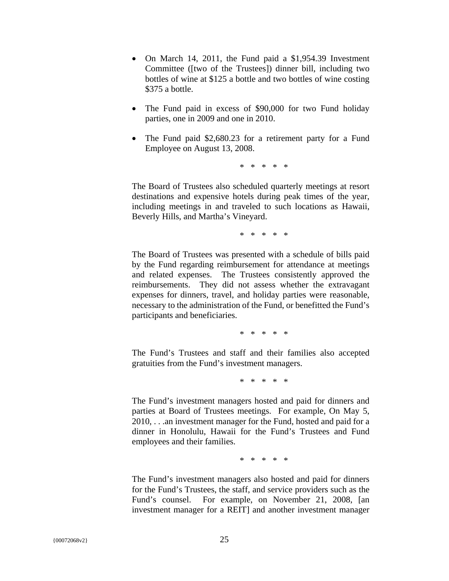- On March 14, 2011, the Fund paid a \$1,954.39 Investment Committee ([two of the Trustees]) dinner bill, including two bottles of wine at \$125 a bottle and two bottles of wine costing \$375 a bottle.
- The Fund paid in excess of \$90,000 for two Fund holiday parties, one in 2009 and one in 2010.
- The Fund paid \$2,680.23 for a retirement party for a Fund Employee on August 13, 2008.

\* \* \* \* \*

The Board of Trustees also scheduled quarterly meetings at resort destinations and expensive hotels during peak times of the year, including meetings in and traveled to such locations as Hawaii, Beverly Hills, and Martha's Vineyard.

\* \* \* \* \*

The Board of Trustees was presented with a schedule of bills paid by the Fund regarding reimbursement for attendance at meetings and related expenses. The Trustees consistently approved the reimbursements. They did not assess whether the extravagant expenses for dinners, travel, and holiday parties were reasonable, necessary to the administration of the Fund, or benefitted the Fund's participants and beneficiaries.

\* \* \* \* \*

The Fund's Trustees and staff and their families also accepted gratuities from the Fund's investment managers.

\* \* \* \* \*

The Fund's investment managers hosted and paid for dinners and parties at Board of Trustees meetings. For example, On May 5, 2010, . . .an investment manager for the Fund, hosted and paid for a dinner in Honolulu, Hawaii for the Fund's Trustees and Fund employees and their families.

\* \* \* \* \*

The Fund's investment managers also hosted and paid for dinners for the Fund's Trustees, the staff, and service providers such as the Fund's counsel. For example, on November 21, 2008, [an investment manager for a REIT] and another investment manager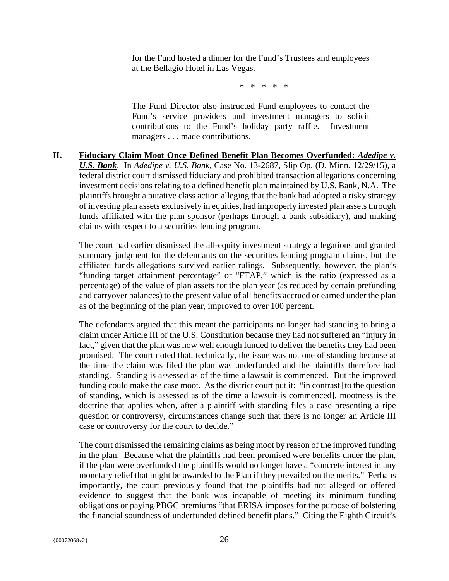for the Fund hosted a dinner for the Fund's Trustees and employees at the Bellagio Hotel in Las Vegas.

\* \* \* \* \*

The Fund Director also instructed Fund employees to contact the Fund's service providers and investment managers to solicit contributions to the Fund's holiday party raffle. Investment managers . . . made contributions.

**II. Fiduciary Claim Moot Once Defined Benefit Plan Becomes Overfunded:** *Adedipe v. U.S. Bank*. In *Adedipe v. U.S. Bank*, Case No. 13-2687, Slip Op. (D. Minn. 12/29/15), a federal district court dismissed fiduciary and prohibited transaction allegations concerning investment decisions relating to a defined benefit plan maintained by U.S. Bank, N.A. The plaintiffs brought a putative class action alleging that the bank had adopted a risky strategy of investing plan assets exclusively in equities, had improperly invested plan assets through funds affiliated with the plan sponsor (perhaps through a bank subsidiary), and making claims with respect to a securities lending program.

The court had earlier dismissed the all-equity investment strategy allegations and granted summary judgment for the defendants on the securities lending program claims, but the affiliated funds allegations survived earlier rulings. Subsequently, however, the plan's "funding target attainment percentage" or "FTAP," which is the ratio (expressed as a percentage) of the value of plan assets for the plan year (as reduced by certain prefunding and carryover balances) to the present value of all benefits accrued or earned under the plan as of the beginning of the plan year, improved to over 100 percent.

The defendants argued that this meant the participants no longer had standing to bring a claim under Article III of the U.S. Constitution because they had not suffered an "injury in fact," given that the plan was now well enough funded to deliver the benefits they had been promised. The court noted that, technically, the issue was not one of standing because at the time the claim was filed the plan was underfunded and the plaintiffs therefore had standing. Standing is assessed as of the time a lawsuit is commenced. But the improved funding could make the case moot. As the district court put it: "in contrast [to the question of standing, which is assessed as of the time a lawsuit is commenced], mootness is the doctrine that applies when, after a plaintiff with standing files a case presenting a ripe question or controversy, circumstances change such that there is no longer an Article III case or controversy for the court to decide."

The court dismissed the remaining claims as being moot by reason of the improved funding in the plan. Because what the plaintiffs had been promised were benefits under the plan, if the plan were overfunded the plaintiffs would no longer have a "concrete interest in any monetary relief that might be awarded to the Plan if they prevailed on the merits." Perhaps importantly, the court previously found that the plaintiffs had not alleged or offered evidence to suggest that the bank was incapable of meeting its minimum funding obligations or paying PBGC premiums "that ERISA imposes for the purpose of bolstering the financial soundness of underfunded defined benefit plans." Citing the Eighth Circuit's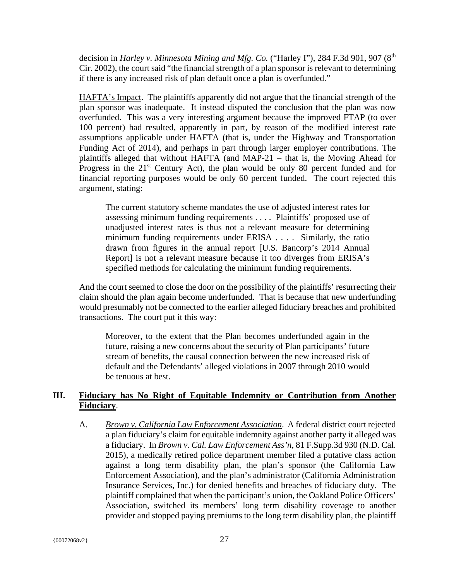decision in *Harley v. Minnesota Mining and Mfg. Co.* ("Harley I"), 284 F.3d 901, 907 (8th Cir. 2002), the court said "the financial strength of a plan sponsor is relevant to determining if there is any increased risk of plan default once a plan is overfunded."

HAFTA's Impact. The plaintiffs apparently did not argue that the financial strength of the plan sponsor was inadequate. It instead disputed the conclusion that the plan was now overfunded. This was a very interesting argument because the improved FTAP (to over 100 percent) had resulted, apparently in part, by reason of the modified interest rate assumptions applicable under HAFTA (that is, under the Highway and Transportation Funding Act of 2014), and perhaps in part through larger employer contributions. The plaintiffs alleged that without HAFTA (and MAP-21 – that is, the Moving Ahead for Progress in the  $21<sup>st</sup>$  Century Act), the plan would be only 80 percent funded and for financial reporting purposes would be only 60 percent funded. The court rejected this argument, stating:

The current statutory scheme mandates the use of adjusted interest rates for assessing minimum funding requirements . . . . Plaintiffs' proposed use of unadjusted interest rates is thus not a relevant measure for determining minimum funding requirements under ERISA . . . . Similarly, the ratio drawn from figures in the annual report [U.S. Bancorp's 2014 Annual Report] is not a relevant measure because it too diverges from ERISA's specified methods for calculating the minimum funding requirements.

And the court seemed to close the door on the possibility of the plaintiffs' resurrecting their claim should the plan again become underfunded. That is because that new underfunding would presumably not be connected to the earlier alleged fiduciary breaches and prohibited transactions. The court put it this way:

Moreover, to the extent that the Plan becomes underfunded again in the future, raising a new concerns about the security of Plan participants' future stream of benefits, the causal connection between the new increased risk of default and the Defendants' alleged violations in 2007 through 2010 would be tenuous at best.

#### **III. Fiduciary has No Right of Equitable Indemnity or Contribution from Another Fiduciary**.

A. *Brown v. California Law Enforcement Association*. A federal district court rejected a plan fiduciary's claim for equitable indemnity against another party it alleged was a fiduciary. In *Brown v. Cal. Law Enforcement Ass'n*, 81 F.Supp.3d 930 (N.D. Cal. 2015), a medically retired police department member filed a putative class action against a long term disability plan, the plan's sponsor (the California Law Enforcement Association), and the plan's administrator (California Administration Insurance Services, Inc.) for denied benefits and breaches of fiduciary duty. The plaintiff complained that when the participant's union, the Oakland Police Officers' Association, switched its members' long term disability coverage to another provider and stopped paying premiums to the long term disability plan, the plaintiff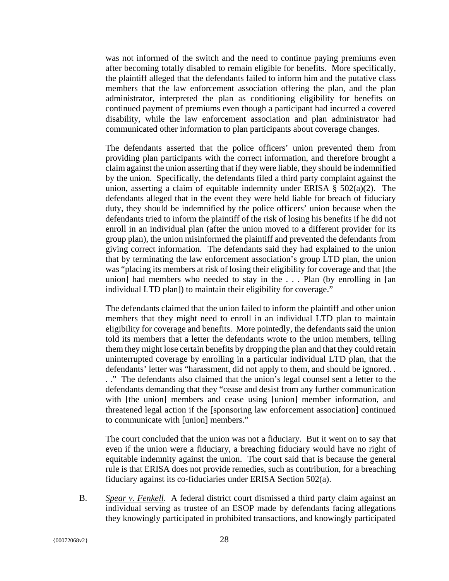was not informed of the switch and the need to continue paying premiums even after becoming totally disabled to remain eligible for benefits. More specifically, the plaintiff alleged that the defendants failed to inform him and the putative class members that the law enforcement association offering the plan, and the plan administrator, interpreted the plan as conditioning eligibility for benefits on continued payment of premiums even though a participant had incurred a covered disability, while the law enforcement association and plan administrator had communicated other information to plan participants about coverage changes.

The defendants asserted that the police officers' union prevented them from providing plan participants with the correct information, and therefore brought a claim against the union asserting that if they were liable, they should be indemnified by the union. Specifically, the defendants filed a third party complaint against the union, asserting a claim of equitable indemnity under ERISA  $\S$  502(a)(2). The defendants alleged that in the event they were held liable for breach of fiduciary duty, they should be indemnified by the police officers' union because when the defendants tried to inform the plaintiff of the risk of losing his benefits if he did not enroll in an individual plan (after the union moved to a different provider for its group plan), the union misinformed the plaintiff and prevented the defendants from giving correct information. The defendants said they had explained to the union that by terminating the law enforcement association's group LTD plan, the union was "placing its members at risk of losing their eligibility for coverage and that [the union] had members who needed to stay in the . . . Plan (by enrolling in [an individual LTD plan]) to maintain their eligibility for coverage."

The defendants claimed that the union failed to inform the plaintiff and other union members that they might need to enroll in an individual LTD plan to maintain eligibility for coverage and benefits. More pointedly, the defendants said the union told its members that a letter the defendants wrote to the union members, telling them they might lose certain benefits by dropping the plan and that they could retain uninterrupted coverage by enrolling in a particular individual LTD plan, that the defendants' letter was "harassment, did not apply to them, and should be ignored. . . ." The defendants also claimed that the union's legal counsel sent a letter to the defendants demanding that they "cease and desist from any further communication with [the union] members and cease using [union] member information, and threatened legal action if the [sponsoring law enforcement association] continued to communicate with [union] members."

The court concluded that the union was not a fiduciary. But it went on to say that even if the union were a fiduciary, a breaching fiduciary would have no right of equitable indemnity against the union. The court said that is because the general rule is that ERISA does not provide remedies, such as contribution, for a breaching fiduciary against its co-fiduciaries under ERISA Section 502(a).

B. *Spear v. Fenkell*. A federal district court dismissed a third party claim against an individual serving as trustee of an ESOP made by defendants facing allegations they knowingly participated in prohibited transactions, and knowingly participated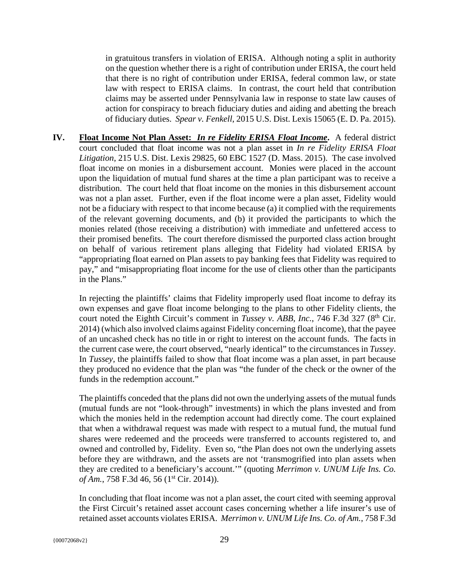in gratuitous transfers in violation of ERISA. Although noting a split in authority on the question whether there is a right of contribution under ERISA, the court held that there is no right of contribution under ERISA, federal common law, or state law with respect to ERISA claims. In contrast, the court held that contribution claims may be asserted under Pennsylvania law in response to state law causes of action for conspiracy to breach fiduciary duties and aiding and abetting the breach of fiduciary duties. *Spear v. Fenkell*, 2015 U.S. Dist. Lexis 15065 (E. D. Pa. 2015).

**IV. Float Income Not Plan Asset:** *In re Fidelity ERISA Float Income***.** A federal district court concluded that float income was not a plan asset in *In re Fidelity ERISA Float Litigation*, 215 U.S. Dist. Lexis 29825, 60 EBC 1527 (D. Mass. 2015). The case involved float income on monies in a disbursement account. Monies were placed in the account upon the liquidation of mutual fund shares at the time a plan participant was to receive a distribution. The court held that float income on the monies in this disbursement account was not a plan asset. Further, even if the float income were a plan asset, Fidelity would not be a fiduciary with respect to that income because (a) it complied with the requirements of the relevant governing documents, and (b) it provided the participants to which the monies related (those receiving a distribution) with immediate and unfettered access to their promised benefits. The court therefore dismissed the purported class action brought on behalf of various retirement plans alleging that Fidelity had violated ERISA by "appropriating float earned on Plan assets to pay banking fees that Fidelity was required to pay," and "misappropriating float income for the use of clients other than the participants in the Plans."

In rejecting the plaintiffs' claims that Fidelity improperly used float income to defray its own expenses and gave float income belonging to the plans to other Fidelity clients, the court noted the Eighth Circuit's comment in *Tussey v. ABB, Inc.*, 746 F.3d 327 (8<sup>th</sup> Cir. 2014) (which also involved claims against Fidelity concerning float income), that the payee of an uncashed check has no title in or right to interest on the account funds. The facts in the current case were, the court observed, "nearly identical" to the circumstances in *Tussey*. In *Tussey,* the plaintiffs failed to show that float income was a plan asset, in part because they produced no evidence that the plan was "the funder of the check or the owner of the funds in the redemption account."

The plaintiffs conceded that the plans did not own the underlying assets of the mutual funds (mutual funds are not "look-through" investments) in which the plans invested and from which the monies held in the redemption account had directly come. The court explained that when a withdrawal request was made with respect to a mutual fund, the mutual fund shares were redeemed and the proceeds were transferred to accounts registered to, and owned and controlled by, Fidelity. Even so, "the Plan does not own the underlying assets before they are withdrawn, and the assets are not 'transmogrified into plan assets when they are credited to a beneficiary's account.'" (quoting *Merrimon v. UNUM Life Ins. Co. of Am.*, 758 F.3d 46, 56 (1<sup>st</sup> Cir. 2014)).

In concluding that float income was not a plan asset, the court cited with seeming approval the First Circuit's retained asset account cases concerning whether a life insurer's use of retained asset accounts violates ERISA. *Merrimon v. UNUM Life Ins. Co. of Am.*, 758 F.3d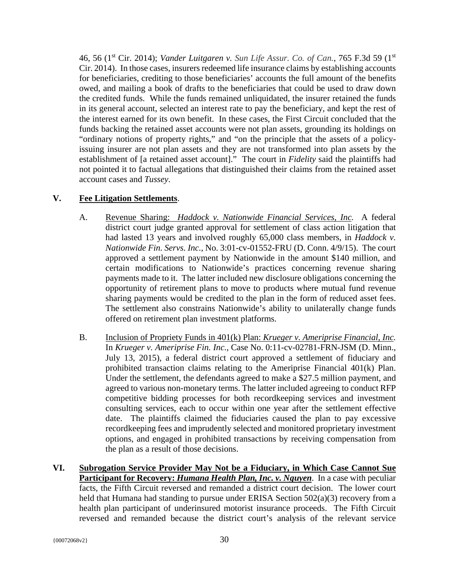46, 56 (1st Cir. 2014); *Vander Luitgaren v. Sun Life Assur. Co. of Can.*, 765 F.3d 59 (1st Cir. 2014). In those cases, insurers redeemed life insurance claims by establishing accounts for beneficiaries, crediting to those beneficiaries' accounts the full amount of the benefits owed, and mailing a book of drafts to the beneficiaries that could be used to draw down the credited funds. While the funds remained unliquidated, the insurer retained the funds in its general account, selected an interest rate to pay the beneficiary, and kept the rest of the interest earned for its own benefit. In these cases, the First Circuit concluded that the funds backing the retained asset accounts were not plan assets, grounding its holdings on "ordinary notions of property rights," and "on the principle that the assets of a policyissuing insurer are not plan assets and they are not transformed into plan assets by the establishment of [a retained asset account]." The court in *Fidelity* said the plaintiffs had not pointed it to factual allegations that distinguished their claims from the retained asset account cases and *Tussey*.

#### **V. Fee Litigation Settlements**.

- A. Revenue Sharing: *Haddock v. Nationwide Financial Services, Inc.* A federal district court judge granted approval for settlement of class action litigation that had lasted 13 years and involved roughly 65,000 class members, in *Haddock v. Nationwide Fin. Servs. Inc.*, No. 3:01-cv-01552-FRU (D. Conn. 4/9/15). The court approved a settlement payment by Nationwide in the amount \$140 million, and certain modifications to Nationwide's practices concerning revenue sharing payments made to it. The latter included new disclosure obligations concerning the opportunity of retirement plans to move to products where mutual fund revenue sharing payments would be credited to the plan in the form of reduced asset fees. The settlement also constrains Nationwide's ability to unilaterally change funds offered on retirement plan investment platforms.
- B. Inclusion of Propriety Funds in 401(k) Plan: *Krueger v. Ameriprise Financial, Inc.* In *Krueger v. Ameriprise Fin. Inc.*, Case No. 0:11-cv-02781-FRN-JSM (D. Minn., July 13, 2015), a federal district court approved a settlement of fiduciary and prohibited transaction claims relating to the Ameriprise Financial 401(k) Plan. Under the settlement, the defendants agreed to make a \$27.5 million payment, and agreed to various non-monetary terms. The latter included agreeing to conduct RFP competitive bidding processes for both recordkeeping services and investment consulting services, each to occur within one year after the settlement effective date. The plaintiffs claimed the fiduciaries caused the plan to pay excessive recordkeeping fees and imprudently selected and monitored proprietary investment options, and engaged in prohibited transactions by receiving compensation from the plan as a result of those decisions.
- **VI. Subrogation Service Provider May Not be a Fiduciary, in Which Case Cannot Sue Participant for Recovery:** *Humana Health Plan, Inc. v. Nguyen*. In a case with peculiar facts, the Fifth Circuit reversed and remanded a district court decision. The lower court held that Humana had standing to pursue under ERISA Section 502(a)(3) recovery from a health plan participant of underinsured motorist insurance proceeds. The Fifth Circuit reversed and remanded because the district court's analysis of the relevant service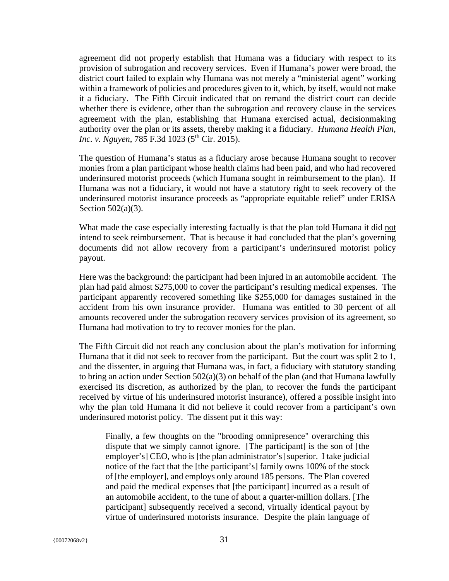agreement did not properly establish that Humana was a fiduciary with respect to its provision of subrogation and recovery services. Even if Humana's power were broad, the district court failed to explain why Humana was not merely a "ministerial agent" working within a framework of policies and procedures given to it, which, by itself, would not make it a fiduciary. The Fifth Circuit indicated that on remand the district court can decide whether there is evidence, other than the subrogation and recovery clause in the services agreement with the plan, establishing that Humana exercised actual, decisionmaking authority over the plan or its assets, thereby making it a fiduciary. *Humana Health Plan, Inc. v. Nguyen*, 785 F.3d 1023 (5<sup>th</sup> Cir. 2015).

The question of Humana's status as a fiduciary arose because Humana sought to recover monies from a plan participant whose health claims had been paid, and who had recovered underinsured motorist proceeds (which Humana sought in reimbursement to the plan). If Humana was not a fiduciary, it would not have a statutory right to seek recovery of the underinsured motorist insurance proceeds as "appropriate equitable relief" under ERISA Section 502(a)(3).

What made the case especially interesting factually is that the plan told Humana it did not intend to seek reimbursement. That is because it had concluded that the plan's governing documents did not allow recovery from a participant's underinsured motorist policy payout.

Here was the background: the participant had been injured in an automobile accident. The plan had paid almost \$275,000 to cover the participant's resulting medical expenses. The participant apparently recovered something like \$255,000 for damages sustained in the accident from his own insurance provider. Humana was entitled to 30 percent of all amounts recovered under the subrogation recovery services provision of its agreement, so Humana had motivation to try to recover monies for the plan.

The Fifth Circuit did not reach any conclusion about the plan's motivation for informing Humana that it did not seek to recover from the participant. But the court was split 2 to 1, and the dissenter, in arguing that Humana was, in fact, a fiduciary with statutory standing to bring an action under Section  $502(a)(3)$  on behalf of the plan (and that Humana lawfully exercised its discretion, as authorized by the plan, to recover the funds the participant received by virtue of his underinsured motorist insurance), offered a possible insight into why the plan told Humana it did not believe it could recover from a participant's own underinsured motorist policy. The dissent put it this way:

Finally, a few thoughts on the "brooding omnipresence" overarching this dispute that we simply cannot ignore. [The participant] is the son of [the employer's] CEO, who is [the plan administrator's] superior. I take judicial notice of the fact that the [the participant's] family owns 100% of the stock of [the employer], and employs only around 185 persons. The Plan covered and paid the medical expenses that [the participant] incurred as a result of an automobile accident, to the tune of about a quarter-million dollars. [The participant] subsequently received a second, virtually identical payout by virtue of underinsured motorists insurance. Despite the plain language of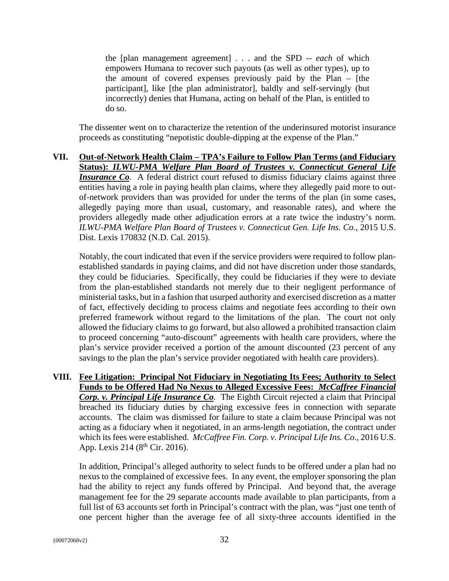the [plan management agreement] . . . and the SPD -- *each* of which empowers Humana to recover such payouts (as well as other types), up to the amount of covered expenses previously paid by the Plan – [the participant], like [the plan administrator], baldly and self-servingly (but incorrectly) denies that Humana, acting on behalf of the Plan, is entitled to do so.

The dissenter went on to characterize the retention of the underinsured motorist insurance proceeds as constituting "nepotistic double-dipping at the expense of the Plan."

**VII. Out-of-Network Health Claim – TPA's Failure to Follow Plan Terms (and Fiduciary Status):** *ILWU-PMA Welfare Plan Board of Trustees v. Connecticut General Life Insurance Co.* A federal district court refused to dismiss fiduciary claims against three entities having a role in paying health plan claims, where they allegedly paid more to outof-network providers than was provided for under the terms of the plan (in some cases, allegedly paying more than usual, customary, and reasonable rates), and where the providers allegedly made other adjudication errors at a rate twice the industry's norm. *ILWU-PMA Welfare Plan Board of Trustees v. Connecticut Gen. Life Ins. Co.*, 2015 U.S. Dist. Lexis 170832 (N.D. Cal. 2015).

Notably, the court indicated that even if the service providers were required to follow planestablished standards in paying claims, and did not have discretion under those standards, they could be fiduciaries. Specifically, they could be fiduciaries if they were to deviate from the plan-established standards not merely due to their negligent performance of ministerial tasks, but in a fashion that usurped authority and exercised discretion as a matter of fact, effectively deciding to process claims and negotiate fees according to their own preferred framework without regard to the limitations of the plan. The court not only allowed the fiduciary claims to go forward, but also allowed a prohibited transaction claim to proceed concerning "auto-discount" agreements with health care providers, where the plan's service provider received a portion of the amount discounted (23 percent of any savings to the plan the plan's service provider negotiated with health care providers).

**VIII. Fee Litigation: Principal Not Fiduciary in Negotiating Its Fees; Authority to Select Funds to be Offered Had No Nexus to Alleged Excessive Fees:** *McCaffree Financial Corp. v. Principal Life Insurance Co.* The Eighth Circuit rejected a claim that Principal breached its fiduciary duties by charging excessive fees in connection with separate accounts. The claim was dismissed for failure to state a claim because Principal was not acting as a fiduciary when it negotiated, in an arms-length negotiation, the contract under which its fees were established. *McCaffree Fin. Corp. v. Principal Life Ins. Co*., 2016 U.S. App. Lexis 214 ( $8^{th}$  Cir. 2016).

In addition, Principal's alleged authority to select funds to be offered under a plan had no nexus to the complained of excessive fees. In any event, the employer sponsoring the plan had the ability to reject any funds offered by Principal. And beyond that, the average management fee for the 29 separate accounts made available to plan participants, from a full list of 63 accounts set forth in Principal's contract with the plan, was "just one tenth of one percent higher than the average fee of all sixty-three accounts identified in the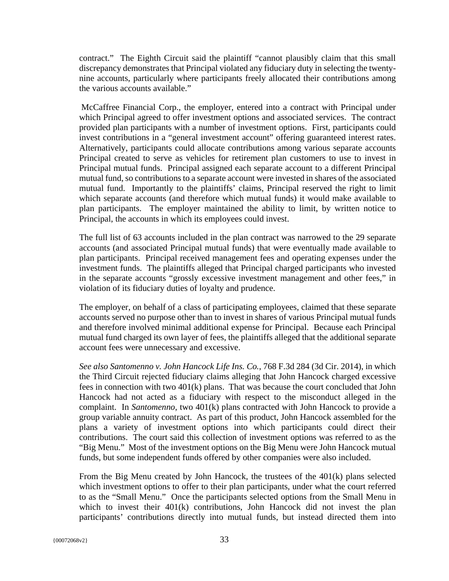contract." The Eighth Circuit said the plaintiff "cannot plausibly claim that this small discrepancy demonstrates that Principal violated any fiduciary duty in selecting the twentynine accounts, particularly where participants freely allocated their contributions among the various accounts available."

 McCaffree Financial Corp., the employer, entered into a contract with Principal under which Principal agreed to offer investment options and associated services. The contract provided plan participants with a number of investment options. First, participants could invest contributions in a "general investment account" offering guaranteed interest rates. Alternatively, participants could allocate contributions among various separate accounts Principal created to serve as vehicles for retirement plan customers to use to invest in Principal mutual funds. Principal assigned each separate account to a different Principal mutual fund, so contributions to a separate account were invested in shares of the associated mutual fund. Importantly to the plaintiffs' claims, Principal reserved the right to limit which separate accounts (and therefore which mutual funds) it would make available to plan participants. The employer maintained the ability to limit, by written notice to Principal, the accounts in which its employees could invest.

The full list of 63 accounts included in the plan contract was narrowed to the 29 separate accounts (and associated Principal mutual funds) that were eventually made available to plan participants. Principal received management fees and operating expenses under the investment funds. The plaintiffs alleged that Principal charged participants who invested in the separate accounts "grossly excessive investment management and other fees," in violation of its fiduciary duties of loyalty and prudence.

The employer, on behalf of a class of participating employees, claimed that these separate accounts served no purpose other than to invest in shares of various Principal mutual funds and therefore involved minimal additional expense for Principal. Because each Principal mutual fund charged its own layer of fees, the plaintiffs alleged that the additional separate account fees were unnecessary and excessive.

*See also Santomenno v. John Hancock Life Ins. Co.*, 768 F.3d 284 (3d Cir. 2014), in which the Third Circuit rejected fiduciary claims alleging that John Hancock charged excessive fees in connection with two 401(k) plans. That was because the court concluded that John Hancock had not acted as a fiduciary with respect to the misconduct alleged in the complaint. In *Santomenno*, two 401(k) plans contracted with John Hancock to provide a group variable annuity contract. As part of this product, John Hancock assembled for the plans a variety of investment options into which participants could direct their contributions. The court said this collection of investment options was referred to as the "Big Menu." Most of the investment options on the Big Menu were John Hancock mutual funds, but some independent funds offered by other companies were also included.

From the Big Menu created by John Hancock, the trustees of the 401(k) plans selected which investment options to offer to their plan participants, under what the court referred to as the "Small Menu." Once the participants selected options from the Small Menu in which to invest their 401(k) contributions, John Hancock did not invest the plan participants' contributions directly into mutual funds, but instead directed them into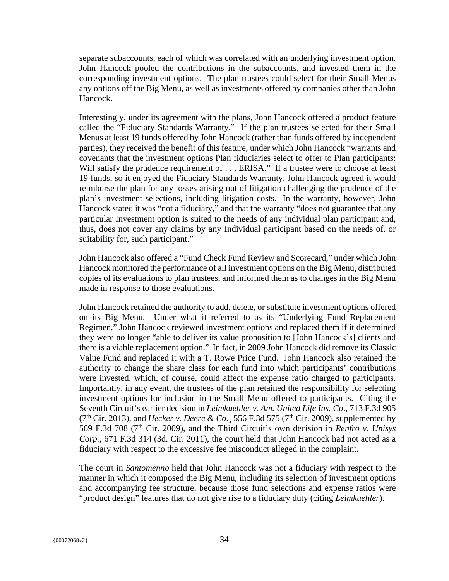separate subaccounts, each of which was correlated with an underlying investment option. John Hancock pooled the contributions in the subaccounts, and invested them in the corresponding investment options. The plan trustees could select for their Small Menus any options off the Big Menu, as well as investments offered by companies other than John Hancock.

Interestingly, under its agreement with the plans, John Hancock offered a product feature called the "Fiduciary Standards Warranty." If the plan trustees selected for their Small Menus at least 19 funds offered by John Hancock (rather than funds offered by independent parties), they received the benefit of this feature, under which John Hancock "warrants and covenants that the investment options Plan fiduciaries select to offer to Plan participants: Will satisfy the prudence requirement of . . . ERISA." If a trustee were to choose at least 19 funds, so it enjoyed the Fiduciary Standards Warranty, John Hancock agreed it would reimburse the plan for any losses arising out of litigation challenging the prudence of the plan's investment selections, including litigation costs. In the warranty, however, John Hancock stated it was "not a fiduciary," and that the warranty "does not guarantee that any particular Investment option is suited to the needs of any individual plan participant and, thus, does not cover any claims by any Individual participant based on the needs of, or suitability for, such participant."

John Hancock also offered a "Fund Check Fund Review and Scorecard," under which John Hancock monitored the performance of all investment options on the Big Menu, distributed copies of its evaluations to plan trustees, and informed them as to changes in the Big Menu made in response to those evaluations.

John Hancock retained the authority to add, delete, or substitute investment options offered on its Big Menu. Under what it referred to as its "Underlying Fund Replacement Regimen," John Hancock reviewed investment options and replaced them if it determined they were no longer "able to deliver its value proposition to [John Hancock's] clients and there is a viable replacement option." In fact, in 2009 John Hancock did remove its Classic Value Fund and replaced it with a T. Rowe Price Fund. John Hancock also retained the authority to change the share class for each fund into which participants' contributions were invested, which, of course, could affect the expense ratio charged to participants. Importantly, in any event, the trustees of the plan retained the responsibility for selecting investment options for inclusion in the Small Menu offered to participants. Citing the Seventh Circuit's earlier decision in *Leimkuehler v. Am. United Life Ins. Co*., 713 F.3d 905 ( $7<sup>th</sup> Cir. 2013$ ), and *Hecker v. Deere & Co.*, 556 F.3d 575 ( $7<sup>th</sup> Cir. 2009$ ), supplemented by 569 F.3d 708 (7<sup>th</sup> Cir. 2009), and the Third Circuit's own decision in *Renfro v. Unisys Corp.*, 671 F.3d 314 (3d. Cir. 2011), the court held that John Hancock had not acted as a fiduciary with respect to the excessive fee misconduct alleged in the complaint.

The court in *Santomenno* held that John Hancock was not a fiduciary with respect to the manner in which it composed the Big Menu, including its selection of investment options and accompanying fee structure, because those fund selections and expense ratios were "product design" features that do not give rise to a fiduciary duty (citing *Leimkuehler*).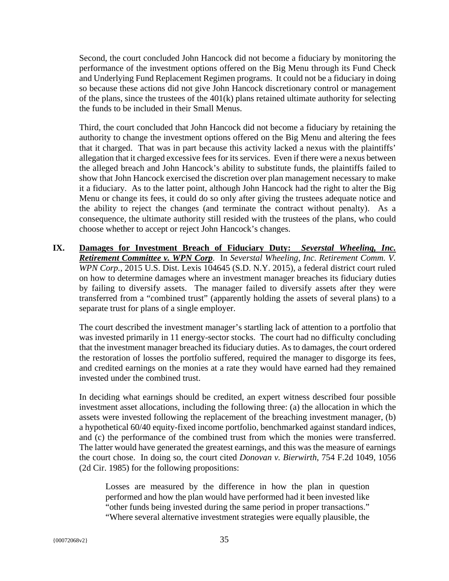Second, the court concluded John Hancock did not become a fiduciary by monitoring the performance of the investment options offered on the Big Menu through its Fund Check and Underlying Fund Replacement Regimen programs. It could not be a fiduciary in doing so because these actions did not give John Hancock discretionary control or management of the plans, since the trustees of the 401(k) plans retained ultimate authority for selecting the funds to be included in their Small Menus.

Third, the court concluded that John Hancock did not become a fiduciary by retaining the authority to change the investment options offered on the Big Menu and altering the fees that it charged. That was in part because this activity lacked a nexus with the plaintiffs' allegation that it charged excessive fees for its services. Even if there were a nexus between the alleged breach and John Hancock's ability to substitute funds, the plaintiffs failed to show that John Hancock exercised the discretion over plan management necessary to make it a fiduciary. As to the latter point, although John Hancock had the right to alter the Big Menu or change its fees, it could do so only after giving the trustees adequate notice and the ability to reject the changes (and terminate the contract without penalty). As a consequence, the ultimate authority still resided with the trustees of the plans, who could choose whether to accept or reject John Hancock's changes.

**IX. Damages for Investment Breach of Fiduciary Duty:** *Severstal Wheeling, Inc. Retirement Committee v. WPN Corp*. In *Severstal Wheeling, Inc. Retirement Comm. V. WPN Corp.*, 2015 U.S. Dist. Lexis 104645 (S.D. N.Y. 2015), a federal district court ruled on how to determine damages where an investment manager breaches its fiduciary duties by failing to diversify assets. The manager failed to diversify assets after they were transferred from a "combined trust" (apparently holding the assets of several plans) to a separate trust for plans of a single employer.

The court described the investment manager's startling lack of attention to a portfolio that was invested primarily in 11 energy-sector stocks. The court had no difficulty concluding that the investment manager breached its fiduciary duties. As to damages, the court ordered the restoration of losses the portfolio suffered, required the manager to disgorge its fees, and credited earnings on the monies at a rate they would have earned had they remained invested under the combined trust.

In deciding what earnings should be credited, an expert witness described four possible investment asset allocations, including the following three: (a) the allocation in which the assets were invested following the replacement of the breaching investment manager, (b) a hypothetical 60/40 equity-fixed income portfolio, benchmarked against standard indices, and (c) the performance of the combined trust from which the monies were transferred. The latter would have generated the greatest earnings, and this was the measure of earnings the court chose. In doing so, the court cited *Donovan v. Bierwirth*, 754 F.2d 1049, 1056 (2d Cir. 1985) for the following propositions:

Losses are measured by the difference in how the plan in question performed and how the plan would have performed had it been invested like "other funds being invested during the same period in proper transactions." "Where several alternative investment strategies were equally plausible, the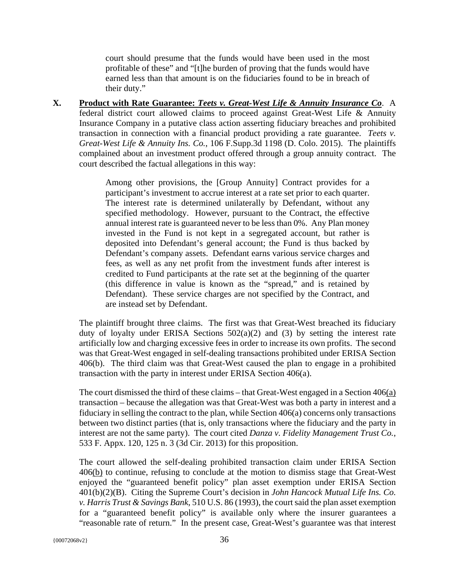court should presume that the funds would have been used in the most profitable of these" and "[t]he burden of proving that the funds would have earned less than that amount is on the fiduciaries found to be in breach of their duty."

**X. Product with Rate Guarantee:** *Teets v. Great-West Life & Annuity Insurance Co*.A federal district court allowed claims to proceed against Great-West Life & Annuity Insurance Company in a putative class action asserting fiduciary breaches and prohibited transaction in connection with a financial product providing a rate guarantee. *Teets v. Great-West Life & Annuity Ins. Co.*, 106 F.Supp.3d 1198 (D. Colo. 2015). The plaintiffs complained about an investment product offered through a group annuity contract. The court described the factual allegations in this way:

> Among other provisions, the [Group Annuity] Contract provides for a participant's investment to accrue interest at a rate set prior to each quarter. The interest rate is determined unilaterally by Defendant, without any specified methodology. However, pursuant to the Contract, the effective annual interest rate is guaranteed never to be less than 0%. Any Plan money invested in the Fund is not kept in a segregated account, but rather is deposited into Defendant's general account; the Fund is thus backed by Defendant's company assets. Defendant earns various service charges and fees, as well as any net profit from the investment funds after interest is credited to Fund participants at the rate set at the beginning of the quarter (this difference in value is known as the "spread," and is retained by Defendant). These service charges are not specified by the Contract, and are instead set by Defendant.

The plaintiff brought three claims. The first was that Great-West breached its fiduciary duty of loyalty under ERISA Sections  $502(a)(2)$  and  $(3)$  by setting the interest rate artificially low and charging excessive fees in order to increase its own profits. The second was that Great-West engaged in self-dealing transactions prohibited under ERISA Section 406(b). The third claim was that Great-West caused the plan to engage in a prohibited transaction with the party in interest under ERISA Section 406(a).

The court dismissed the third of these claims – that Great-West engaged in a Section 406(a) transaction – because the allegation was that Great-West was both a party in interest and a fiduciary in selling the contract to the plan, while Section 406(a) concerns only transactions between two distinct parties (that is, only transactions where the fiduciary and the party in interest are not the same party). The court cited *Danza v. Fidelity Management Trust Co.*, 533 F. Appx. 120, 125 n. 3 (3d Cir. 2013) for this proposition.

The court allowed the self-dealing prohibited transaction claim under ERISA Section 406(b) to continue, refusing to conclude at the motion to dismiss stage that Great-West enjoyed the "guaranteed benefit policy" plan asset exemption under ERISA Section 401(b)(2)(B). Citing the Supreme Court's decision in *John Hancock Mutual Life Ins. Co. v. Harris Trust & Savings Bank*, 510 U.S. 86 (1993), the court said the plan asset exemption for a "guaranteed benefit policy" is available only where the insurer guarantees a "reasonable rate of return." In the present case, Great-West's guarantee was that interest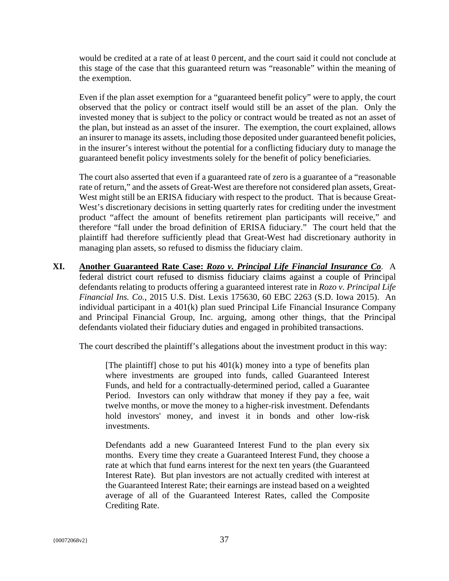would be credited at a rate of at least 0 percent, and the court said it could not conclude at this stage of the case that this guaranteed return was "reasonable" within the meaning of the exemption.

Even if the plan asset exemption for a "guaranteed benefit policy" were to apply, the court observed that the policy or contract itself would still be an asset of the plan. Only the invested money that is subject to the policy or contract would be treated as not an asset of the plan, but instead as an asset of the insurer. The exemption, the court explained, allows an insurer to manage its assets, including those deposited under guaranteed benefit policies, in the insurer's interest without the potential for a conflicting fiduciary duty to manage the guaranteed benefit policy investments solely for the benefit of policy beneficiaries.

The court also asserted that even if a guaranteed rate of zero is a guarantee of a "reasonable rate of return," and the assets of Great-West are therefore not considered plan assets, Great-West might still be an ERISA fiduciary with respect to the product. That is because Great-West's discretionary decisions in setting quarterly rates for crediting under the investment product "affect the amount of benefits retirement plan participants will receive," and therefore "fall under the broad definition of ERISA fiduciary." The court held that the plaintiff had therefore sufficiently plead that Great-West had discretionary authority in managing plan assets, so refused to dismiss the fiduciary claim.

**XI. Another Guaranteed Rate Case:** *Rozo v. Principal Life Financial Insurance Co*. A federal district court refused to dismiss fiduciary claims against a couple of Principal defendants relating to products offering a guaranteed interest rate in *Rozo v. Principal Life Financial Ins. Co.*, 2015 U.S. Dist. Lexis 175630, 60 EBC 2263 (S.D. Iowa 2015). An individual participant in a 401(k) plan sued Principal Life Financial Insurance Company and Principal Financial Group, Inc. arguing, among other things, that the Principal defendants violated their fiduciary duties and engaged in prohibited transactions.

The court described the plaintiff's allegations about the investment product in this way:

[The plaintiff] chose to put his  $401(k)$  money into a type of benefits plan where investments are grouped into funds, called Guaranteed Interest Funds, and held for a contractually-determined period, called a Guarantee Period. Investors can only withdraw that money if they pay a fee, wait twelve months, or move the money to a higher-risk investment. Defendants hold investors' money, and invest it in bonds and other low-risk investments.

Defendants add a new Guaranteed Interest Fund to the plan every six months. Every time they create a Guaranteed Interest Fund, they choose a rate at which that fund earns interest for the next ten years (the Guaranteed Interest Rate). But plan investors are not actually credited with interest at the Guaranteed Interest Rate; their earnings are instead based on a weighted average of all of the Guaranteed Interest Rates, called the Composite Crediting Rate.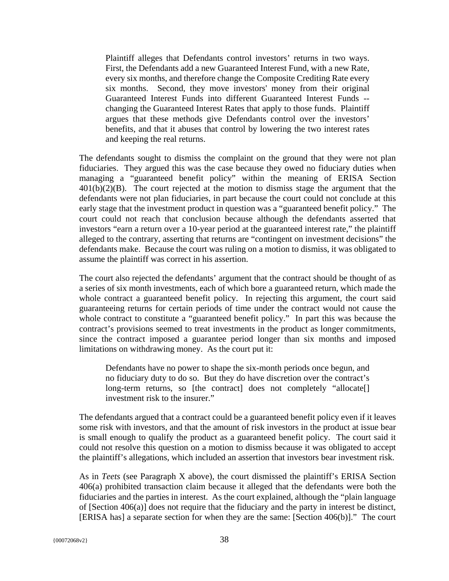Plaintiff alleges that Defendants control investors' returns in two ways. First, the Defendants add a new Guaranteed Interest Fund, with a new Rate, every six months, and therefore change the Composite Crediting Rate every six months. Second, they move investors' money from their original Guaranteed Interest Funds into different Guaranteed Interest Funds - changing the Guaranteed Interest Rates that apply to those funds. Plaintiff argues that these methods give Defendants control over the investors' benefits, and that it abuses that control by lowering the two interest rates and keeping the real returns.

The defendants sought to dismiss the complaint on the ground that they were not plan fiduciaries. They argued this was the case because they owed no fiduciary duties when managing a "guaranteed benefit policy" within the meaning of ERISA Section 401(b)(2)(B). The court rejected at the motion to dismiss stage the argument that the defendants were not plan fiduciaries, in part because the court could not conclude at this early stage that the investment product in question was a "guaranteed benefit policy." The court could not reach that conclusion because although the defendants asserted that investors "earn a return over a 10-year period at the guaranteed interest rate," the plaintiff alleged to the contrary, asserting that returns are "contingent on investment decisions" the defendants make. Because the court was ruling on a motion to dismiss, it was obligated to assume the plaintiff was correct in his assertion.

The court also rejected the defendants' argument that the contract should be thought of as a series of six month investments, each of which bore a guaranteed return, which made the whole contract a guaranteed benefit policy. In rejecting this argument, the court said guaranteeing returns for certain periods of time under the contract would not cause the whole contract to constitute a "guaranteed benefit policy." In part this was because the contract's provisions seemed to treat investments in the product as longer commitments, since the contract imposed a guarantee period longer than six months and imposed limitations on withdrawing money. As the court put it:

Defendants have no power to shape the six-month periods once begun, and no fiduciary duty to do so. But they do have discretion over the contract's long-term returns, so [the contract] does not completely "allocate[] investment risk to the insurer."

The defendants argued that a contract could be a guaranteed benefit policy even if it leaves some risk with investors, and that the amount of risk investors in the product at issue bear is small enough to qualify the product as a guaranteed benefit policy. The court said it could not resolve this question on a motion to dismiss because it was obligated to accept the plaintiff's allegations, which included an assertion that investors bear investment risk.

As in *Teets* (see Paragraph X above), the court dismissed the plaintiff's ERISA Section 406(a) prohibited transaction claim because it alleged that the defendants were both the fiduciaries and the parties in interest. As the court explained, although the "plain language of [Section 406(a)] does not require that the fiduciary and the party in interest be distinct, [ERISA has] a separate section for when they are the same: [Section 406(b)]." The court